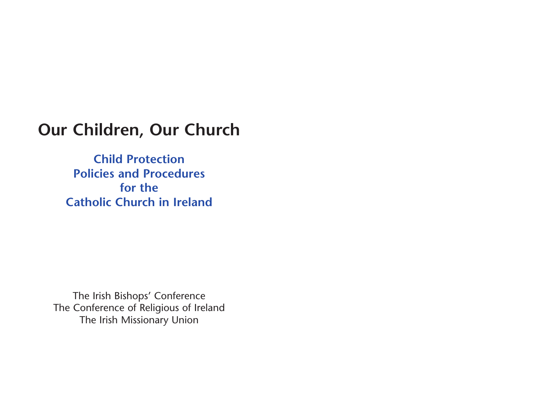# **Our Children, Our Church**

**Child Protection Policies and Procedures for the Catholic Church in Ireland**

The Irish Bishops' Conference The Conference of Religious of Ireland The Irish Missionary Union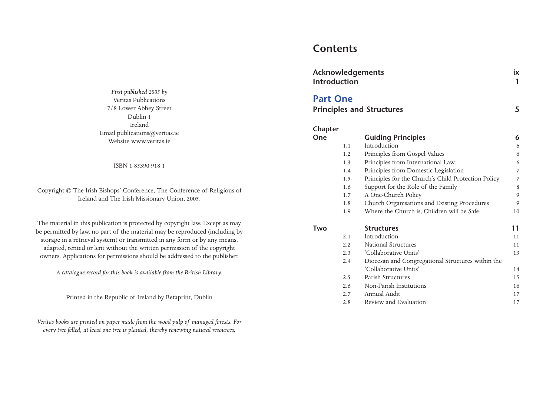*First published 2005 by* Veritas Publications 7/8 Lower Abbey Street Dublin 1 Ireland Email publications@veritas.ie Website www.veritas.ie

ISBN 1 85390 918 1

Copyright © The Irish Bishops' Conference, The Conference of Religious of Ireland and The Irish Missionary Union, 2005.

The material in this publication is protected by copyright law. Except as may be permitted by law, no part of the material may be reproduced (including by storage in a retrieval system) or transmitted in any form or by any means, adapted, rented or lent without the written permission of the copyright owners. Applications for permissions should be addressed to the publisher.

*A catalogue record for this book is available from the British Library.*

Printed in the Republic of Ireland by Betaprint, Dublin

*Veritas books are printed on paper made from the wood pulp of managed forests. For every tree felled, at least one tree is planted, thereby renewing natural resources.*

# **Contents**

| <b>Acknowledgements</b> |  |
|-------------------------|--|
| <b>Introduction</b>     |  |

# **Part One**

| <b>Principles and Structures</b> |  |
|----------------------------------|--|
|----------------------------------|--|

## **Chapter**

| One |     | <b>Guiding Principles</b>                           | 6              |
|-----|-----|-----------------------------------------------------|----------------|
|     | 1.1 | Introduction                                        | 6              |
|     | 1.2 | Principles from Gospel Values                       | 6              |
|     | 1.3 | Principles from International Law                   | 6              |
|     | 1.4 | Principles from Domestic Legislation                | $\overline{7}$ |
|     | 1.5 | Principles for the Church's Child Protection Policy | 7              |
|     | 1.6 | Support for the Role of the Family                  | 8              |
|     | 1.7 | A One-Church Policy                                 | 9              |
|     | 1.8 | Church Organisations and Existing Procedures        | 9              |
|     | 1.9 | Where the Church is, Children will be Safe          | 10             |
| Two |     | <b>Structures</b>                                   | 11             |
|     | 2.1 | Introduction                                        | 11             |
|     | 2.2 | <b>National Structures</b>                          | 11             |
|     | 2.3 | 'Collaborative Units'                               | 13             |
|     | 2.4 | Diocesan and Congregational Structures within the   |                |
|     |     | 'Collaborative Units'                               | 14             |
|     | 2.5 | Parish Structures                                   | 15             |
|     | 2.6 | Non-Parish Institutions                             | 16             |
|     | 2.7 | Annual Audit                                        | 17             |
|     | 2.8 | Review and Evaluation                               | 17             |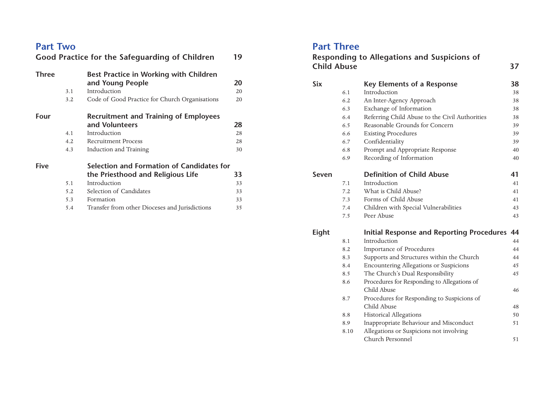# **Part Two**

|              |     | Good Practice for the Safeguarding of Children                    | 19 |
|--------------|-----|-------------------------------------------------------------------|----|
| <b>Three</b> |     | <b>Best Practice in Working with Children</b><br>and Young People | 20 |
|              | 3.1 | Introduction                                                      | 20 |
|              | 3.2 | Code of Good Practice for Church Organisations                    | 20 |
| Four         |     | <b>Recruitment and Training of Employees</b>                      |    |
|              |     | and Volunteers                                                    | 28 |
|              | 4.1 | Introduction                                                      | 28 |
|              | 4.2 | <b>Recruitment Process</b>                                        | 28 |
|              | 4.3 | Induction and Training                                            | 30 |
| <b>Five</b>  |     | Selection and Formation of Candidates for                         |    |
|              |     | the Priesthood and Religious Life                                 | 33 |
|              | 5.1 | Introduction                                                      | 33 |
|              | 5.2 | Selection of Candidates                                           | 33 |
|              | 5.3 | Formation                                                         | 33 |
|              | 5.4 | Transfer from other Dioceses and Jurisdictions                    | 35 |

# **Part Three**

**Responding to Allegations and Suspicions of Child Abuse 37**

| Six   |     | <b>Key Elements of a Response</b>              | 38 |
|-------|-----|------------------------------------------------|----|
|       | 6.1 | Introduction                                   | 38 |
|       | 6.2 | An Inter-Agency Approach                       | 38 |
|       | 6.3 | Exchange of Information                        | 38 |
|       | 6.4 | Referring Child Abuse to the Civil Authorities | 38 |
|       | 6.5 | Reasonable Grounds for Concern                 | 39 |
|       | 6.6 | <b>Existing Procedures</b>                     | 39 |
|       | 6.7 | Confidentiality                                | 39 |
|       | 6.8 | Prompt and Appropriate Response                | 40 |
|       | 6.9 | Recording of Information                       | 40 |
| Seven |     | <b>Definition of Child Abuse</b>               | 41 |
|       | 7.1 | Introduction                                   | 41 |
|       | 7.2 | What is Child Abuse?                           | 41 |
|       | 7.3 | Forms of Child Abuse                           | 41 |
|       | 7.4 | Children with Special Vulnerabilities          | 43 |
|       | 7.5 | Peer Abuse                                     | 43 |
| Eight |     | Initial Response and Reporting Procedures      | 44 |
|       | 8.1 | Introduction                                   | 44 |
|       | 8.2 | Importance of Procedures                       | 44 |
|       | 8.3 | Supports and Structures within the Church      | 44 |
|       | 8.4 | <b>Encountering Allegations or Suspicions</b>  | 45 |
|       | 8.5 | The Church's Dual Responsibility               | 45 |
|       | 8.6 | Procedures for Responding to Allegations of    |    |
|       |     | Child Abuse                                    | 46 |
|       | 8.7 | Procedures for Responding to Suspicions of     |    |
|       |     | Child Abuse                                    | 48 |
|       |     |                                                |    |

8.8 Historical Allegations 50 8.9 Inappropriate Behaviour and Misconduct 51<br>8.10 Allegations or Suspicions not involving Allegations or Suspicions not involving Church Personnel 51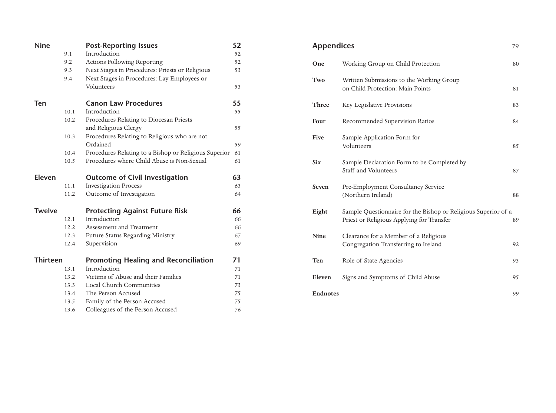| <b>Nine</b>     |      | <b>Post-Reporting Issues</b>                          | 52 |
|-----------------|------|-------------------------------------------------------|----|
|                 | 9.1  | Introduction                                          | 52 |
|                 | 9.2  | <b>Actions Following Reporting</b>                    | 52 |
|                 | 9.3  | Next Stages in Procedures: Priests or Religious       | 53 |
|                 | 9.4  | Next Stages in Procedures: Lay Employees or           |    |
|                 |      | Volunteers                                            | 53 |
| <b>Ten</b>      |      | <b>Canon Law Procedures</b>                           | 55 |
|                 | 10.1 | Introduction                                          | 55 |
|                 | 10.2 | Procedures Relating to Diocesan Priests               |    |
|                 |      | and Religious Clergy                                  | 55 |
|                 | 10.3 | Procedures Relating to Religious who are not          |    |
|                 |      | Ordained                                              | 59 |
|                 | 10.4 | Procedures Relating to a Bishop or Religious Superior | 61 |
|                 | 10.5 | Procedures where Child Abuse is Non-Sexual            | 61 |
| <b>Eleven</b>   |      | <b>Outcome of Civil Investigation</b>                 | 63 |
|                 | 11.1 | <b>Investigation Process</b>                          | 63 |
|                 | 11.2 | Outcome of Investigation                              | 64 |
| <b>Twelve</b>   |      | <b>Protecting Against Future Risk</b>                 | 66 |
|                 | 12.1 | Introduction                                          | 66 |
|                 | 12.2 | Assessment and Treatment                              | 66 |
|                 | 12.3 | Future Status Regarding Ministry                      | 67 |
|                 | 12.4 | Supervision                                           | 69 |
| <b>Thirteen</b> |      | <b>Promoting Healing and Reconciliation</b>           | 71 |
|                 | 13.1 | Introduction                                          | 71 |
|                 | 13.2 | Victims of Abuse and their Families                   | 71 |
|                 | 13.3 | <b>Local Church Communities</b>                       | 73 |
|                 | 13.4 | The Person Accused                                    | 75 |
|                 | 13.5 | Family of the Person Accused                          | 75 |
|                 | 13.6 | Colleagues of the Person Accused                      | 76 |

| 70. |
|-----|
|     |

| One             | Working Group on Child Protection                                                                           | 80 |
|-----------------|-------------------------------------------------------------------------------------------------------------|----|
| Two             | Written Submissions to the Working Group<br>on Child Protection: Main Points                                | 81 |
| <b>Three</b>    | Key Legislative Provisions                                                                                  | 83 |
| Four            | Recommended Supervision Ratios                                                                              | 84 |
| <b>Five</b>     | Sample Application Form for<br>Volunteers                                                                   | 85 |
| <b>Six</b>      | Sample Declaration Form to be Completed by<br>Staff and Volunteers                                          | 87 |
| Seven           | Pre-Employment Consultancy Service<br>(Northern Ireland)                                                    | 88 |
| Eight           | Sample Questionnaire for the Bishop or Religious Superior of a<br>Priest or Religious Applying for Transfer | 89 |
| <b>Nine</b>     | Clearance for a Member of a Religious<br>Congregation Transferring to Ireland                               | 92 |
| Ten             | Role of State Agencies                                                                                      | 93 |
| Eleven          | Signs and Symptoms of Child Abuse                                                                           | 95 |
| <b>Endnotes</b> |                                                                                                             | 99 |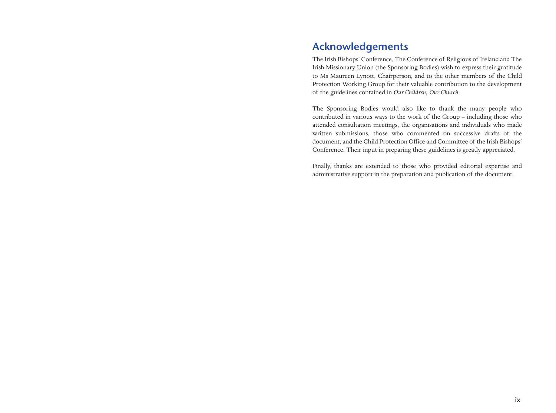# **Acknowledgements**

The Irish Bishops' Conference, The Conference of Religious of Ireland and The Irish Missionary Union (the Sponsoring Bodies) wish to express their gratitude to Ms Maureen Lynott, Chairperson, and to the other members of the Child Protection Working Group for their valuable contribution to the development of the guidelines contained in *Our Children, Our Church*.

The Sponsoring Bodies would also like to thank the many people who contributed in various ways to the work of the Group – including those who attended consultation meetings, the organisations and individuals who made written submissions, those who commented on successive drafts of the document, and the Child Protection Office and Committee of the Irish Bishops' Conference. Their input in preparing these guidelines is greatly appreciated.

Finally, thanks are extended to those who provided editorial expertise and administrative support in the preparation and publication of the document.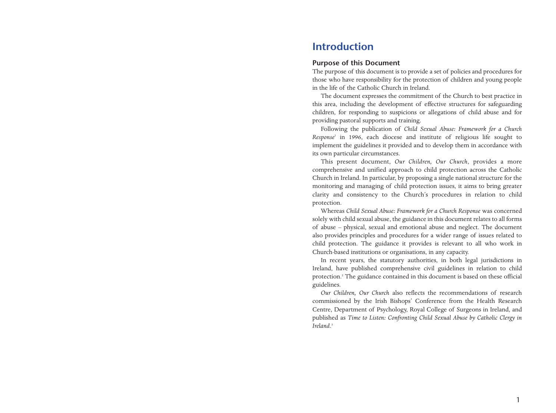# **Introduction**

## **Purpose of this Document**

The purpose of this document is to provide a set of policies and procedures for those who have responsibility for the protection of children and young people in the life of the Catholic Church in Ireland.

The document expresses the commitment of the Church to best practice in this area, including the development of effective structures for safeguarding children, for responding to suspicions or allegations of child abuse and for providing pastoral supports and training.

Following the publication of *Child Sexual Abuse: Framework for a Church Response*<sup>1</sup> in 1996, each diocese and institute of religious life sought to implement the guidelines it provided and to develop them in accordance with its own particular circumstances.

This present document, *Our Children, Our Church*, provides a more comprehensive and unified approach to child protection across the Catholic Church in Ireland. In particular, by proposing a single national structure for the monitoring and managing of child protection issues, it aims to bring greater clarity and consistency to the Church's procedures in relation to child protection.

Whereas *Child Sexual Abuse: Framework for a Church Response* was concerned solely with child sexual abuse, the guidance in this document relates to all forms of abuse – physical, sexual and emotional abuse and neglect. The document also provides principles and procedures for a wider range of issues related to child protection. The guidance it provides is relevant to all who work in Church-based institutions or organisations, in any capacity.

In recent years, the statutory authorities, in both legal jurisdictions in Ireland, have published comprehensive civil guidelines in relation to child protection.2 The guidance contained in this document is based on these official guidelines.

*Our Children, Our Church* also reflects the recommendations of research commissioned by the Irish Bishops' Conference from the Health Research Centre, Department of Psychology, Royal College of Surgeons in Ireland, and published as *Time to Listen: Confronting Child Sexual Abuse by Catholic Clergy in Ireland*. 3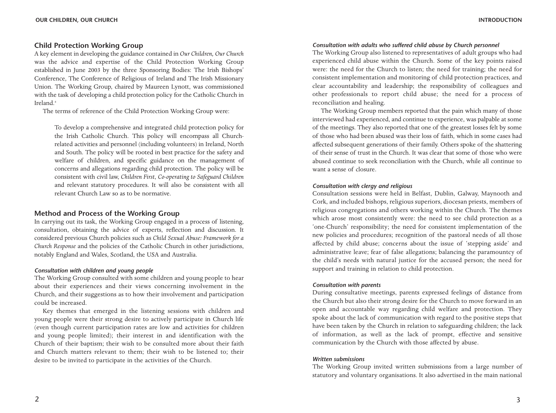## **Child Protection Working Group**

A key element in developing the guidance contained in *Our Children, Our Church* was the advice and expertise of the Child Protection Working Group established in June 2003 by the three Sponsoring Bodies: The Irish Bishops' Conference, The Conference of Religious of Ireland and The Irish Missionary Union. The Working Group, chaired by Maureen Lynott, was commissioned with the task of developing a child protection policy for the Catholic Church in Ireland.4

The terms of reference of the Child Protection Working Group were:

To develop a comprehensive and integrated child protection policy for the Irish Catholic Church. This policy will encompass all Churchrelated activities and personnel (including volunteers) in Ireland, North and South. The policy will be rooted in best practice for the safety and welfare of children, and specific guidance on the management of concerns and allegations regarding child protection. The policy will be consistent with civil law, *Children First*, *Co-operating to Safeguard Children* and relevant statutory procedures. It will also be consistent with all relevant Church Law so as to be normative.

## **Method and Process of the Working Group**

In carrying out its task, the Working Group engaged in a process of listening, consultation, obtaining the advice of experts, reflection and discussion. It considered previous Church policies such as *Child Sexual Abuse: Framework for a Church Response* and the policies of the Catholic Church in other jurisdictions, notably England and Wales, Scotland, the USA and Australia.

## *Consultation with children and young people*

The Working Group consulted with some children and young people to hear about their experiences and their views concerning involvement in the Church, and their suggestions as to how their involvement and participation could be increased.

Key themes that emerged in the listening sessions with children and young people were their strong desire to actively participate in Church life (even though current participation rates are low and activities for children and young people limited); their interest in and identification with the Church of their baptism; their wish to be consulted more about their faith and Church matters relevant to them; their wish to be listened to; their desire to be invited to participate in the activities of the Church.

## *Consultation with adults who suffered child abuse by Church personnel*

The Working Group also listened to representatives of adult groups who had experienced child abuse within the Church. Some of the key points raised were: the need for the Church to listen; the need for training; the need for consistent implementation and monitoring of child protection practices, and clear accountability and leadership; the responsibility of colleagues and other professionals to report child abuse; the need for a process of reconciliation and healing.

The Working Group members reported that the pain which many of those interviewed had experienced, and continue to experience, was palpable at some of the meetings. They also reported that one of the greatest losses felt by some of those who had been abused was their loss of faith, which in some cases had affected subsequent generations of their family. Others spoke of the shattering of their sense of trust in the Church. It was clear that some of those who were abused continue to seek reconciliation with the Church, while all continue to want a sense of closure.

## *Consultation with clergy and religious*

Consultation sessions were held in Belfast, Dublin, Galway, Maynooth and Cork, and included bishops, religious superiors, diocesan priests, members of religious congregations and others working within the Church. The themes which arose most consistently were: the need to see child protection as a 'one-Church' responsibility; the need for consistent implementation of the new policies and procedures; recognition of the pastoral needs of all those affected by child abuse; concerns about the issue of 'stepping aside' and administrative leave; fear of false allegations; balancing the paramountcy of the child's needs with natural justice for the accused person; the need for support and training in relation to child protection.

## *Consultation with parents*

During consultative meetings, parents expressed feelings of distance from the Church but also their strong desire for the Church to move forward in an open and accountable way regarding child welfare and protection. They spoke about the lack of communication with regard to the positive steps that have been taken by the Church in relation to safeguarding children; the lack of information, as well as the lack of prompt, effective and sensitive communication by the Church with those affected by abuse.

## *Written submissions*

The Working Group invited written submissions from a large number of statutory and voluntary organisations. It also advertised in the main national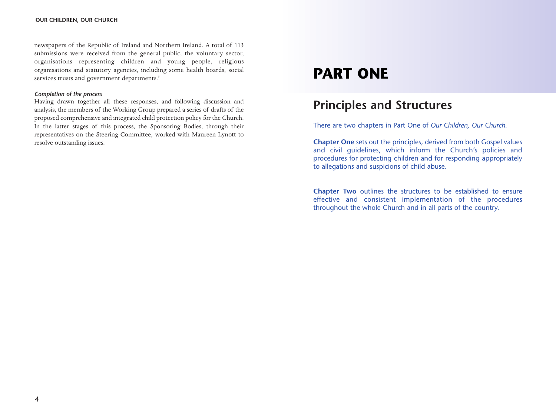newspapers of the Republic of Ireland and Northern Ireland. A total of 113 submissions were received from the general public, the voluntary sector, organisations representing children and young people, religious organisations and statutory agencies, including some health boards, social services trusts and government departments.<sup>5</sup>

## *Completion of the process*

Having drawn together all these responses, and following discussion and analysis, the members of the Working Group prepared a series of drafts of the proposed comprehensive and integrated child protection policy for the Church. In the latter stages of this process, the Sponsoring Bodies, through their representatives on the Steering Committee, worked with Maureen Lynott to resolve outstanding issues.

# **PART ONE**

# **Principles and Structures**

There are two chapters in Part One of *Our Children, Our Church.*

**Chapter One** sets out the principles, derived from both Gospel values and civil guidelines, which inform the Church's policies and procedures for protecting children and for responding appropriately to allegations and suspicions of child abuse.

**Chapter Two** outlines the structures to be established to ensure effective and consistent implementation of the procedures throughout the whole Church and in all parts of the country.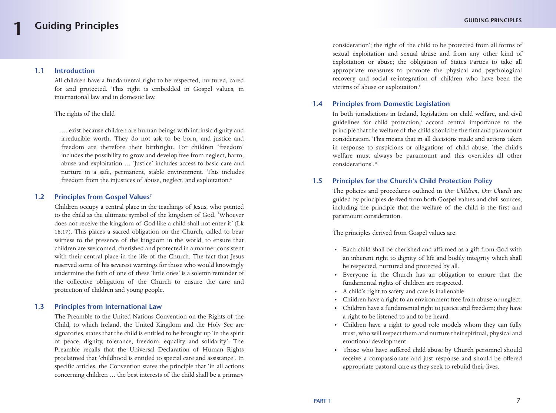# **Guiding Principles GUIDING PRINCIPLES 1**

## **1.1 Introduction**

All children have a fundamental right to be respected, nurtured, cared for and protected. This right is embedded in Gospel values, in international law and in domestic law.

## The rights of the child

… exist because children are human beings with intrinsic dignity and irreducible worth. They do not ask to be born, and justice and freedom are therefore their birthright. For children 'freedom' includes the possibility to grow and develop free from neglect, harm, abuse and exploitation … 'Justice' includes access to basic care and nurture in a safe, permanent, stable environment. This includes freedom from the injustices of abuse, neglect, and exploitation.<sup>6</sup>

## **1.2 Principles from Gospel Values<sup>7</sup>**

Children occupy a central place in the teachings of Jesus, who pointed to the child as the ultimate symbol of the kingdom of God. 'Whoever does not receive the kingdom of God like a child shall not enter it' (Lk 18:17). This places a sacred obligation on the Church, called to bear witness to the presence of the kingdom in the world, to ensure that children are welcomed, cherished and protected in a manner consistent with their central place in the life of the Church. The fact that Jesus reserved some of his severest warnings for those who would knowingly undermine the faith of one of these 'little ones' is a solemn reminder of the collective obligation of the Church to ensure the care and protection of children and young people.

## **1.3 Principles from International Law**

The Preamble to the United Nations Convention on the Rights of the Child, to which Ireland, the United Kingdom and the Holy See are signatories, states that the child is entitled to be brought up 'in the spirit of peace, dignity, tolerance, freedom, equality and solidarity'. The Preamble recalls that the Universal Declaration of Human Rights proclaimed that 'childhood is entitled to special care and assistance'. In specific articles, the Convention states the principle that 'in all actions concerning children … the best interests of the child shall be a primary

consideration'; the right of the child to be protected from all forms of sexual exploitation and sexual abuse and from any other kind of exploitation or abuse; the obligation of States Parties to take all appropriate measures to promote the physical and psychological recovery and social re-integration of children who have been the victims of abuse or exploitation.<sup>8</sup>

## **1.4 Principles from Domestic Legislation**

In both jurisdictions in Ireland, legislation on child welfare, and civil guidelines for child protection,<sup>9</sup> accord central importance to the principle that the welfare of the child should be the first and paramount consideration. This means that in all decisions made and actions taken in response to suspicions or allegations of child abuse, 'the child's welfare must always be paramount and this overrides all other considerations'. 10

## **1.5 Principles for the Church's Child Protection Policy**

The policies and procedures outlined in *Our Children, Our Church* are guided by principles derived from both Gospel values and civil sources, including the principle that the welfare of the child is the first and paramount consideration.

The principles derived from Gospel values are:

- Each child shall be cherished and affirmed as a gift from God with an inherent right to dignity of life and bodily integrity which shall be respected, nurtured and protected by all.
- Everyone in the Church has an obligation to ensure that the fundamental rights of children are respected.
- A child's right to safety and care is inalienable.
- Children have a right to an environment free from abuse or neglect.
- Children have a fundamental right to justice and freedom; they have a right to be listened to and to be heard.
- Children have a right to good role models whom they can fully trust, who will respect them and nurture their spiritual, physical and emotional development.
- Those who have suffered child abuse by Church personnel should receive a compassionate and just response and should be offered appropriate pastoral care as they seek to rebuild their lives.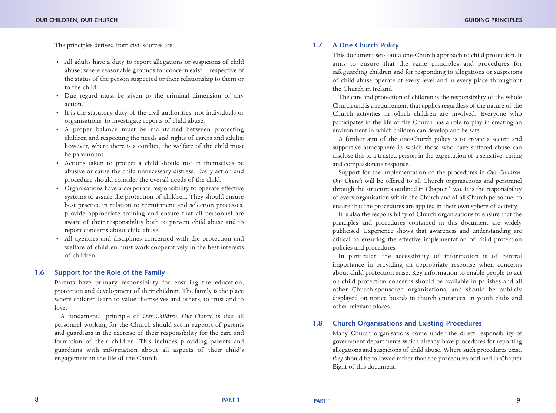The principles derived from civil sources are:

- All adults have a duty to report allegations or suspicions of child abuse, where reasonable grounds for concern exist, irrespective of the status of the person suspected or their relationship to them or to the child.
- Due regard must be given to the criminal dimension of any action.
- It is the statutory duty of the civil authorities, not individuals or organisations, to investigate reports of child abuse.
- A proper balance must be maintained between protecting children and respecting the needs and rights of carers and adults; however, where there is a conflict, the welfare of the child must be paramount.
- Actions taken to protect a child should not in themselves be abusive or cause the child unnecessary distress. Every action and procedure should consider the overall needs of the child.
- Organisations have a corporate responsibility to operate effective systems to assure the protection of children. They should ensure best practice in relation to recruitment and selection processes, provide appropriate training and ensure that all personnel are aware of their responsibility both to prevent child abuse and to report concerns about child abuse.
- All agencies and disciplines concerned with the protection and welfare of children must work cooperatively in the best interests of children.

## **1.6 Support for the Role of the Family**

Parents have primary responsibility for ensuring the education, protection and development of their children. The family is the place where children learn to value themselves and others, to trust and to love.

A fundamental principle of *Our Children, Our Church* is that all personnel working for the Church should act in support of parents and guardians in the exercise of their responsibility for the care and formation of their children. This includes providing parents and guardians with information about all aspects of their child's engagement in the life of the Church.

## **1.7 A One-Church Policy**

This document sets out a one-Church approach to child protection. It aims to ensure that the same principles and procedures for safeguarding children and for responding to allegations or suspicions of child abuse operate at every level and in every place throughout the Church in Ireland.

The care and protection of children is the responsibility of the whole Church and is a requirement that applies regardless of the nature of the Church activities in which children are involved. Everyone who participates in the life of the Church has a role to play in creating an environment in which children can develop and be safe.

A further aim of the one-Church policy is to create a secure and supportive atmosphere in which those who have suffered abuse can disclose this to a trusted person in the expectation of a sensitive, caring and compassionate response.

Support for the implementation of the procedures in *Our Children, Our Church* will be offered to all Church organisations and personnel through the structures outlined in Chapter Two. It is the responsibility of every organisation within the Church and of all Church personnel to ensure that the procedures are applied in their own sphere of activity.

It is also the responsibility of Church organisations to ensure that the principles and procedures contained in this document are widely publicised. Experience shows that awareness and understanding are critical to ensuring the effective implementation of child protection policies and procedures.

In particular, the accessibility of information is of central importance in providing an appropriate response when concerns about child protection arise. Key information to enable people to act on child protection concerns should be available in parishes and all other Church-sponsored organisations, and should be publicly displayed on notice boards in church entrances, in youth clubs and other relevant places.

## **1.8 Church Organisations and Existing Procedures**

Many Church organisations come under the direct responsibility of government departments which already have procedures for reporting allegations and suspicions of child abuse. Where such procedures exist, *they* should be followed rather than the procedures outlined in Chapter Eight of this document.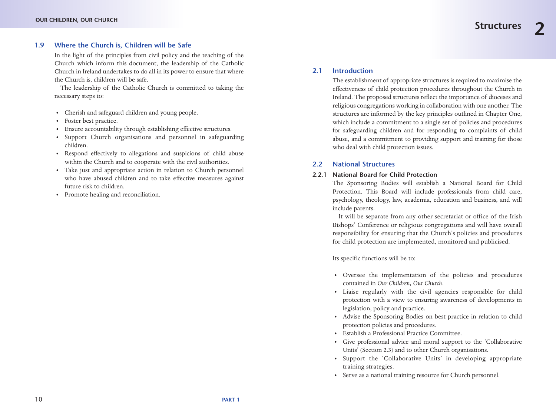## **1.9 Where the Church is, Children will be Safe**

In the light of the principles from civil policy and the teaching of the Church which inform this document, the leadership of the Catholic Church in Ireland undertakes to do all in its power to ensure that where the Church is, children will be safe.

The leadership of the Catholic Church is committed to taking the necessary steps to:

- Cherish and safeguard children and young people.
- Foster best practice.
- Ensure accountability through establishing effective structures.
- Support Church organisations and personnel in safeguarding children.
- Respond effectively to allegations and suspicions of child abuse within the Church and to cooperate with the civil authorities.
- Take just and appropriate action in relation to Church personnel who have abused children and to take effective measures against future risk to children.
- Promote healing and reconciliation.

**2**

## **2.1 Introduction**

The establishment of appropriate structures is required to maximise the effectiveness of child protection procedures throughout the Church in Ireland. The proposed structures reflect the importance of dioceses and religious congregations working in collaboration with one another. The structures are informed by the key principles outlined in Chapter One, which include a commitment to a single set of policies and procedures for safeguarding children and for responding to complaints of child abuse, and a commitment to providing support and training for those who deal with child protection issues.

## **2.2 National Structures**

#### **2.2.1 National Board for Child Protection**

The Sponsoring Bodies will establish a National Board for Child Protection. This Board will include professionals from child care, psychology, theology, law, academia, education and business, and will include parents.

It will be separate from any other secretariat or office of the Irish Bishops' Conference or religious congregations and will have overall responsibility for ensuring that the Church's policies and procedures for child protection are implemented, monitored and publicised.

Its specific functions will be to:

- Oversee the implementation of the policies and procedures contained in *Our Children, Our Church*.
- Liaise regularly with the civil agencies responsible for child protection with a view to ensuring awareness of developments in legislation, policy and practice.
- Advise the Sponsoring Bodies on best practice in relation to child protection policies and procedures.
- Establish a Professional Practice Committee.
- Give professional advice and moral support to the 'Collaborative Units' (Section 2.3) and to other Church organisations.
- Support the 'Collaborative Units' in developing appropriate training strategies.
- Serve as a national training resource for Church personnel.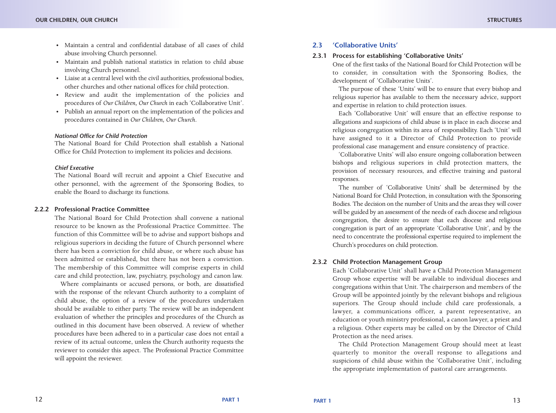- Maintain a central and confidential database of all cases of child abuse involving Church personnel.
- Maintain and publish national statistics in relation to child abuse involving Church personnel.
- Liaise at a central level with the civil authorities, professional bodies, other churches and other national offices for child protection.
- Review and audit the implementation of the policies and procedures of *Our Children, Our Church* in each 'Collaborative Unit'.
- Publish an annual report on the implementation of the policies and procedures contained in *Our Children, Our Church*.

#### *National Office for Child Protection*

The National Board for Child Protection shall establish a National Office for Child Protection to implement its policies and decisions.

#### *Chief Executive*

The National Board will recruit and appoint a Chief Executive and other personnel, with the agreement of the Sponsoring Bodies, to enable the Board to discharge its functions.

#### **2.2.2 Professional Practice Committee**

The National Board for Child Protection shall convene a national resource to be known as the Professional Practice Committee. The function of this Committee will be to advise and support bishops and religious superiors in deciding the future of Church personnel where there has been a conviction for child abuse, or where such abuse has been admitted or established, but there has not been a conviction. The membership of this Committee will comprise experts in child care and child protection, law, psychiatry, psychology and canon law.

Where complainants or accused persons, or both, are dissatisfied with the response of the relevant Church authority to a complaint of child abuse, the option of a review of the procedures undertaken should be available to either party. The review will be an independent evaluation of whether the principles and procedures of the Church as outlined in this document have been observed. A review of whether procedures have been adhered to in a particular case does not entail a review of its actual outcome, unless the Church authority requests the reviewer to consider this aspect. The Professional Practice Committee will appoint the reviewer.

## **2.3 'Collaborative Units'**

## **2.3.1 Process for establishing 'Collaborative Units'**

One of the first tasks of the National Board for Child Protection will be to consider, in consultation with the Sponsoring Bodies, the development of 'Collaborative Units'.

The purpose of these 'Units' will be to ensure that every bishop and religious superior has available to them the necessary advice, support and expertise in relation to child protection issues.

Each 'Collaborative Unit' will ensure that an effective response to allegations and suspicions of child abuse is in place in each diocese and religious congregation within its area of responsibility. Each 'Unit' will have assigned to it a Director of Child Protection to provide professional case management and ensure consistency of practice.

'Collaborative Units' will also ensure ongoing collaboration between bishops and religious superiors in child protection matters, the provision of necessary resources, and effective training and pastoral responses.

The number of 'Collaborative Units' shall be determined by the National Board for Child Protection, in consultation with the Sponsoring Bodies. The decision on the number of Units and the areas they will cover will be guided by an assessment of the needs of each diocese and religious congregation, the desire to ensure that each diocese and religious congregation is part of an appropriate 'Collaborative Unit', and by the need to concentrate the professional expertise required to implement the Church's procedures on child protection.

## **2.3.2 Child Protection Management Group**

Each 'Collaborative Unit' shall have a Child Protection Management Group whose expertise will be available to individual dioceses and congregations within that Unit. The chairperson and members of the Group will be appointed jointly by the relevant bishops and religious superiors. The Group should include child care professionals, a lawyer, a communications officer, a parent representative, an education or youth ministry professional, a canon lawyer, a priest and a religious. Other experts may be called on by the Director of Child Protection as the need arises.

The Child Protection Management Group should meet at least quarterly to monitor the overall response to allegations and suspicions of child abuse within the 'Collaborative Unit', including the appropriate implementation of pastoral care arrangements.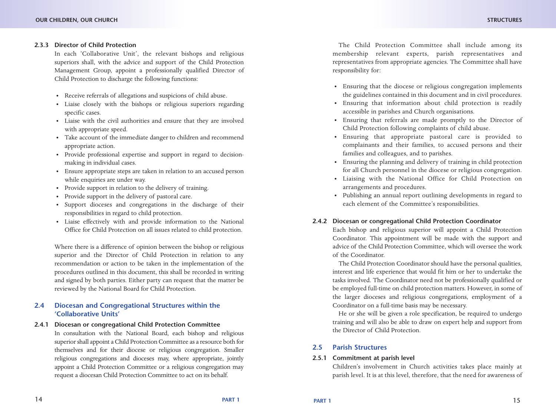#### **2.3.3 Director of Child Protection**

In each 'Collaborative Unit', the relevant bishops and religious superiors shall, with the advice and support of the Child Protection Management Group, appoint a professionally qualified Director of Child Protection to discharge the following functions:

- Receive referrals of allegations and suspicions of child abuse.
- Liaise closely with the bishops or religious superiors regarding specific cases.
- Liaise with the civil authorities and ensure that they are involved with appropriate speed.
- Take account of the immediate danger to children and recommend appropriate action.
- Provide professional expertise and support in regard to decisionmaking in individual cases.
- Ensure appropriate steps are taken in relation to an accused person while enquiries are under way.
- Provide support in relation to the delivery of training.
- Provide support in the delivery of pastoral care.
- Support dioceses and congregations in the discharge of their responsibilities in regard to child protection.
- Liaise effectively with and provide information to the National Office for Child Protection on all issues related to child protection.

Where there is a difference of opinion between the bishop or religious superior and the Director of Child Protection in relation to any recommendation or action to be taken in the implementation of the procedures outlined in this document, this shall be recorded in writing and signed by both parties. Either party can request that the matter be reviewed by the National Board for Child Protection.

## **2.4 Diocesan and Congregational Structures within the 'Collaborative Units'**

#### **2.4.1 Diocesan or congregational Child Protection Committee**

In consultation with the National Board, each bishop and religious superior shall appoint a Child Protection Committee as a resource both for themselves and for their diocese or religious congregation. Smaller religious congregations and dioceses may, where appropriate, jointly appoint a Child Protection Committee or a religious congregation may request a diocesan Child Protection Committee to act on its behalf.

The Child Protection Committee shall include among its membership relevant experts, parish representatives and representatives from appropriate agencies. The Committee shall have responsibility for:

- Ensuring that the diocese or religious congregation implements the guidelines contained in this document and in civil procedures.
- Ensuring that information about child protection is readily accessible in parishes and Church organisations.
- Ensuring that referrals are made promptly to the Director of Child Protection following complaints of child abuse.
- Ensuring that appropriate pastoral care is provided to complainants and their families, to accused persons and their families and colleagues, and to parishes.
- Ensuring the planning and delivery of training in child protection for all Church personnel in the diocese or religious congregation.
- Liaising with the National Office for Child Protection on arrangements and procedures.
- Publishing an annual report outlining developments in regard to each element of the Committee's responsibilities.

## **2.4.2 Diocesan or congregational Child Protection Coordinator**

Each bishop and religious superior will appoint a Child Protection Coordinator. This appointment will be made with the support and advice of the Child Protection Committee, which will oversee the work of the Coordinator.

The Child Protection Coordinator should have the personal qualities, interest and life experience that would fit him or her to undertake the tasks involved. The Coordinator need not be professionally qualified or be employed full-time on child protection matters. However, in some of the larger dioceses and religious congregations, employment of a Coordinator on a full-time basis may be necessary.

He or she will be given a role specification, be required to undergo training and will also be able to draw on expert help and support from the Director of Child Protection.

#### **2.5 Parish Structures**

#### **2.5.1 Commitment at parish level**

Children's involvement in Church activities takes place mainly at parish level. It is at this level, therefore, that the need for awareness of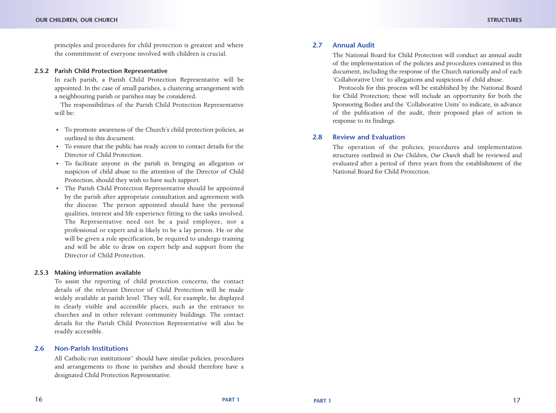principles and procedures for child protection is greatest and where the commitment of everyone involved with children is crucial.

## **2.5.2 Parish Child Protection Representative**

In each parish, a Parish Child Protection Representative will be appointed. In the case of small parishes, a clustering arrangement with a neighbouring parish or parishes may be considered.

The responsibilities of the Parish Child Protection Representative will be:

- To promote awareness of the Church's child protection policies, as outlined in this document.
- To ensure that the public has ready access to contact details for the Director of Child Protection.
- To facilitate anyone in the parish in bringing an allegation or suspicion of child abuse to the attention of the Director of Child Protection, should they wish to have such support.
- The Parish Child Protection Representative should be appointed by the parish after appropriate consultation and agreement with the diocese. The person appointed should have the personal qualities, interest and life experience fitting to the tasks involved. The Representative need not be a paid employee, nor a professional or expert and is likely to be a lay person. He or she will be given a role specification, be required to undergo training and will be able to draw on expert help and support from the Director of Child Protection.

#### **2.5.3 Making information available**

To assist the reporting of child protection concerns, the contact details of the relevant Director of Child Protection will be made widely available at parish level. They will, for example, be displayed in clearly visible and accessible places, such as the entrance to churches and in other relevant community buildings. The contact details for the Parish Child Protection Representative will also be readily accessible.

#### **2.6 Non-Parish Institutions**

All Catholic-run institutions<sup>11</sup> should have similar policies, procedures and arrangements to those in parishes and should therefore have a designated Child Protection Representative.

## **2.7 Annual Audit**

The National Board for Child Protection will conduct an annual audit of the implementation of the policies and procedures contained in this document, including the response of the Church nationally and of each 'Collaborative Unit' to allegations and suspicions of child abuse.

Protocols for this process will be established by the National Board for Child Protection; these will include an opportunity for both the Sponsoring Bodies and the 'Collaborative Units' to indicate, in advance of the publication of the audit, their proposed plan of action in response to its findings.

## **2.8 Review and Evaluation**

The operation of the policies, procedures and implementation structures outlined in *Our Children, Our Church* shall be reviewed and evaluated after a period of three years from the establishment of the National Board for Child Protection.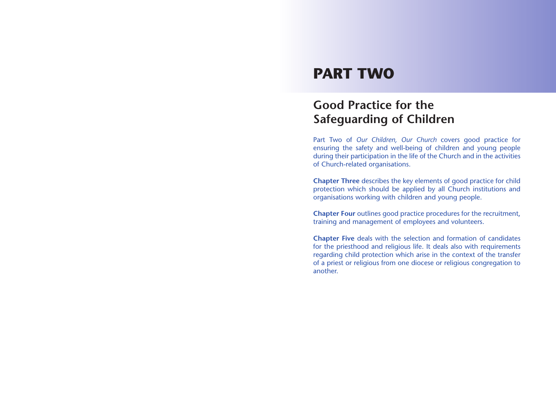# **PART TWO**

# **Good Practice for the Safeguarding of Children**

Part Two of *Our Children, Our Church* covers good practice for ensuring the safety and well-being of children and young people during their participation in the life of the Church and in the activities of Church-related organisations.

**Chapter Three** describes the key elements of good practice for child protection which should be applied by all Church institutions and organisations working with children and young people.

**Chapter Four** outlines good practice procedures for the recruitment, training and management of employees and volunteers.

**Chapter Five** deals with the selection and formation of candidates for the priesthood and religious life. It deals also with requirements regarding child protection which arise in the context of the transfer of a priest or religious from one diocese or religious congregation to another.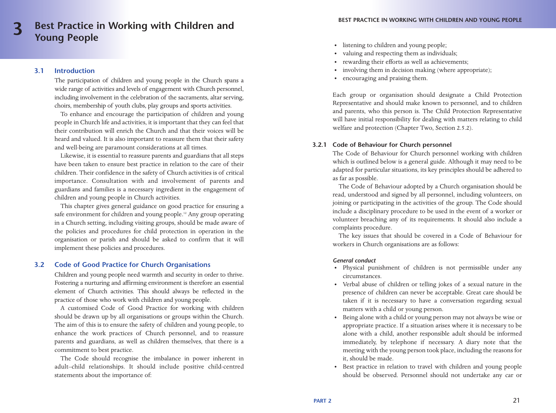## **3.1 Introduction**

**3**

The participation of children and young people in the Church spans a wide range of activities and levels of engagement with Church personnel, including involvement in the celebration of the sacraments, altar serving, choirs, membership of youth clubs, play groups and sports activities.

To enhance and encourage the participation of children and young people in Church life and activities, it is important that they can feel that their contribution will enrich the Church and that their voices will be heard and valued. It is also important to reassure them that their safety and well-being are paramount considerations at all times.

Likewise, it is essential to reassure parents and guardians that all steps have been taken to ensure best practice in relation to the care of their children. Their confidence in the safety of Church activities is of critical importance. Consultation with and involvement of parents and guardians and families is a necessary ingredient in the engagement of children and young people in Church activities.

This chapter gives general guidance on good practice for ensuring a safe environment for children and young people.<sup>12</sup> Any group operating in a Church setting, including visiting groups, should be made aware of the policies and procedures for child protection in operation in the organisation or parish and should be asked to confirm that it will implement these policies and procedures.

## **3.2 Code of Good Practice for Church Organisations**

Children and young people need warmth and security in order to thrive. Fostering a nurturing and affirming environment is therefore an essential element of Church activities. This should always be reflected in the practice of those who work with children and young people.

A customised Code of Good Practice for working with children should be drawn up by all organisations or groups within the Church. The aim of this is to ensure the safety of children and young people, to enhance the work practices of Church personnel, and to reassure parents and guardians, as well as children themselves, that there is a commitment to best practice.

The Code should recognise the imbalance in power inherent in adult–child relationships. It should include positive child-centred statements about the importance of:

- 
- valuing and respecting them as individuals;
- rewarding their efforts as well as achievements;
- involving them in decision making (where appropriate);
- encouraging and praising them.

Each group or organisation should designate a Child Protection Representative and should make known to personnel, and to children and parents, who this person is. The Child Protection Representative will have initial responsibility for dealing with matters relating to child welfare and protection (Chapter Two, Section 2.5.2).

#### **3.2.1 Code of Behaviour for Church personnel**

The Code of Behaviour for Church personnel working with children which is outlined below is a general guide. Although it may need to be adapted for particular situations, its key principles should be adhered to as far as possible.

The Code of Behaviour adopted by a Church organisation should be read, understood and signed by all personnel, including volunteers, on joining or participating in the activities of the group. The Code should include a disciplinary procedure to be used in the event of a worker or volunteer breaching any of its requirements. It should also include a complaints procedure.

The key issues that should be covered in a Code of Behaviour for workers in Church organisations are as follows:

#### *General conduct*

- Physical punishment of children is not permissible under any circumstances.
- Verbal abuse of children or telling jokes of a sexual nature in the presence of children can never be acceptable. Great care should be taken if it is necessary to have a conversation regarding sexual matters with a child or young person.
- Being alone with a child or young person may not always be wise or appropriate practice. If a situation arises where it is necessary to be alone with a child, another responsible adult should be informed immediately, by telephone if necessary. A diary note that the meeting with the young person took place, including the reasons for it, should be made.
- Best practice in relation to travel with children and young people should be observed. Personnel should not undertake any car or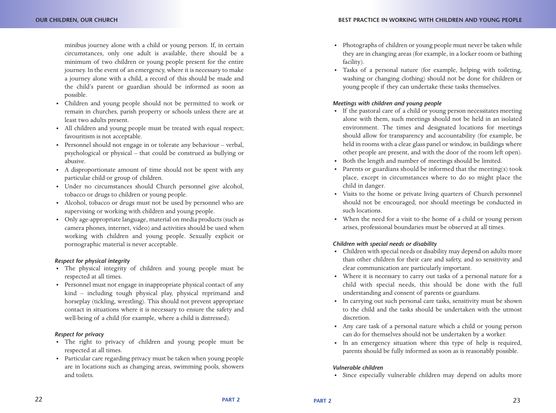minibus journey alone with a child or young person. If, in certain circumstances, only one adult is available, there should be a minimum of two children or young people present for the entire journey. In the event of an emergency, where it is necessary to make a journey alone with a child, a record of this should be made and the child's parent or guardian should be informed as soon as possible.

- Children and young people should not be permitted to work or remain in churches, parish property or schools unless there are at least two adults present.
- All children and young people must be treated with equal respect; favouritism is not acceptable.
- Personnel should not engage in or tolerate any behaviour verbal, psychological or physical – that could be construed as bullying or abusive.
- A disproportionate amount of time should not be spent with any particular child or group of children.
- Under no circumstances should Church personnel give alcohol, tobacco or drugs to children or young people.
- Alcohol, tobacco or drugs must not be used by personnel who are supervising or working with children and young people.
- Only age-appropriate language, material on media products (such as camera phones, internet, video) and activities should be used when working with children and young people. Sexually explicit or pornographic material is never acceptable.

#### *Respect for physical integrity*

- The physical integrity of children and young people must be respected at all times.
- Personnel must not engage in inappropriate physical contact of any kind – including tough physical play, physical reprimand and horseplay (tickling, wrestling). This should not prevent appropriate contact in situations where it is necessary to ensure the safety and well-being of a child (for example, where a child is distressed).

#### *Respect for privacy*

- The right to privacy of children and young people must be respected at all times.
- Particular care regarding privacy must be taken when young people are in locations such as changing areas, swimming pools, showers and toilets.
- Photographs of children or young people must never be taken while they are in changing areas (for example, in a locker room or bathing facility).
- Tasks of a personal nature (for example, helping with toileting, washing or changing clothing) should not be done for children or young people if they can undertake these tasks themselves.

## *Meetings with children and young people*

- If the pastoral care of a child or young person necessitates meeting alone with them, such meetings should not be held in an isolated environment. The times and designated locations for meetings should allow for transparency and accountability (for example, be held in rooms with a clear glass panel or window, in buildings where other people are present, and with the door of the room left open).
- Both the length and number of meetings should be limited.
- Parents or guardians should be informed that the meeting(s) took place, except in circumstances where to do so might place the child in danger.
- Visits to the home or private living quarters of Church personnel should not be encouraged, nor should meetings be conducted in such locations.
- When the need for a visit to the home of a child or young person arises, professional boundaries must be observed at all times.

## *Children with special needs or disability*

- Children with special needs or disability may depend on adults more than other children for their care and safety, and so sensitivity and clear communication are particularly important.
- Where it is necessary to carry out tasks of a personal nature for a child with special needs, this should be done with the full understanding and consent of parents or guardians.
- In carrying out such personal care tasks, sensitivity must be shown to the child and the tasks should be undertaken with the utmost discretion.
- Any care task of a personal nature which a child or young person can do for themselves should not be undertaken by a worker.
- In an emergency situation where this type of help is required, parents should be fully informed as soon as is reasonably possible.

#### *Vulnerable children*

• Since especially vulnerable children may depend on adults more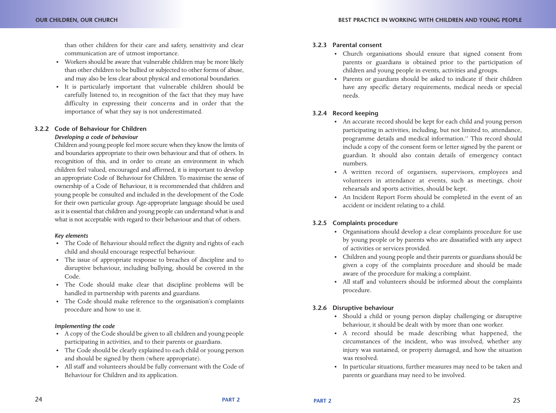than other children for their care and safety, sensitivity and clear communication are of utmost importance.

- Workers should be aware that vulnerable children may be more likely than other children to be bullied or subjected to other forms of abuse, and may also be less clear about physical and emotional boundaries.
- It is particularly important that vulnerable children should be carefully listened to, in recognition of the fact that they may have difficulty in expressing their concerns and in order that the importance of what they say is not underestimated.

## **3.2.2 Code of Behaviour for Children**

## *Developing a code of behaviour*

Children and young people feel more secure when they know the limits of and boundaries appropriate to their own behaviour and that of others. In recognition of this, and in order to create an environment in which children feel valued, encouraged and affirmed, it is important to develop an appropriate Code of Behaviour for Children. To maximise the sense of ownership of a Code of Behaviour, it is recommended that children and young people be consulted and included in the development of the Code for their own particular group. Age-appropriate language should be used as it is essential that children and young people can understand what is and what is not acceptable with regard to their behaviour and that of others.

## *Key elements*

- The Code of Behaviour should reflect the dignity and rights of each child and should encourage respectful behaviour.
- The issue of appropriate response to breaches of discipline and to disruptive behaviour, including bullying, should be covered in the Code.
- The Code should make clear that discipline problems will be handled in partnership with parents and guardians.
- The Code should make reference to the organisation's complaints procedure and how to use it.

## *Implementing the code*

- A copy of the Code should be given to all children and young people participating in activities, and to their parents or guardians.
- The Code should be clearly explained to each child or young person and should be signed by them (where appropriate).
- All staff and volunteers should be fully conversant with the Code of Behaviour for Children and its application.

## **3.2.3 Parental consent**

- Church organisations should ensure that signed consent from parents or guardians is obtained prior to the participation of children and young people in events, activities and groups.
- Parents or guardians should be asked to indicate if their children have any specific dietary requirements, medical needs or special needs.

## **3.2.4 Record keeping**

- An accurate record should be kept for each child and young person participating in activities, including, but not limited to, attendance, programme details and medical information.13 This record should include a copy of the consent form or letter signed by the parent or guardian. It should also contain details of emergency contact numbers.
- A written record of organisers, supervisors, employees and volunteers in attendance at events, such as meetings, choir rehearsals and sports activities, should be kept.
- An Incident Report Form should be completed in the event of an accident or incident relating to a child.

## **3.2.5 Complaints procedure**

- Organisations should develop a clear complaints procedure for use by young people or by parents who are dissatisfied with any aspect of activities or services provided.
- Children and young people and their parents or guardians should be given a copy of the complaints procedure and should be made aware of the procedure for making a complaint.
- All staff and volunteers should be informed about the complaints procedure.

## **3.2.6 Disruptive behaviour**

- Should a child or young person display challenging or disruptive behaviour, it should be dealt with by more than one worker.
- A record should be made describing what happened, the circumstances of the incident, who was involved, whether any injury was sustained, or property damaged, and how the situation was resolved.
- In particular situations, further measures may need to be taken and parents or guardians may need to be involved.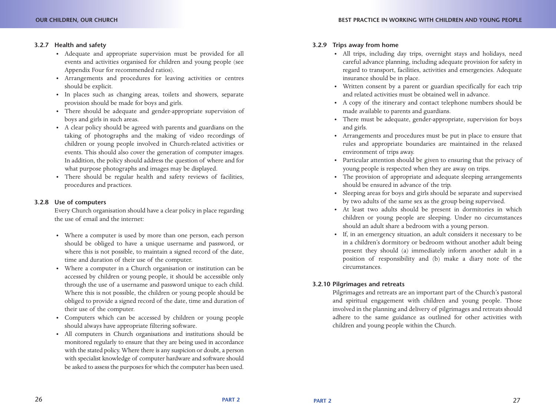## **3.2.7 Health and safety**

- Adequate and appropriate supervision must be provided for all events and activities organised for children and young people (see Appendix Four for recommended ratios).
- Arrangements and procedures for leaving activities or centres should be explicit.
- In places such as changing areas, toilets and showers, separate provision should be made for boys and girls.
- There should be adequate and gender-appropriate supervision of boys and girls in such areas.
- A clear policy should be agreed with parents and guardians on the taking of photographs and the making of video recordings of children or young people involved in Church-related activities or events. This should also cover the generation of computer images. In addition, the policy should address the question of where and for what purpose photographs and images may be displayed.
- There should be regular health and safety reviews of facilities, procedures and practices.

## **3.2.8 Use of computers**

Every Church organisation should have a clear policy in place regarding the use of email and the internet:

- Where a computer is used by more than one person, each person should be obliged to have a unique username and password, or where this is not possible, to maintain a signed record of the date, time and duration of their use of the computer.
- Where a computer in a Church organisation or institution can be accessed by children or young people, it should be accessible only through the use of a username and password unique to each child. Where this is not possible, the children or young people should be obliged to provide a signed record of the date, time and duration of their use of the computer.
- Computers which can be accessed by children or young people should always have appropriate filtering software.
- All computers in Church organisations and institutions should be monitored regularly to ensure that they are being used in accordance with the stated policy. Where there is any suspicion or doubt, a person with specialist knowledge of computer hardware and software should be asked to assess the purposes for which the computer has been used.

## **3.2.9 Trips away from home**

- All trips, including day trips, overnight stays and holidays, need careful advance planning, including adequate provision for safety in regard to transport, facilities, activities and emergencies. Adequate insurance should be in place.
- Written consent by a parent or guardian specifically for each trip and related activities must be obtained well in advance.
- A copy of the itinerary and contact telephone numbers should be made available to parents and guardians.
- There must be adequate, gender-appropriate, supervision for boys and girls.
- Arrangements and procedures must be put in place to ensure that rules and appropriate boundaries are maintained in the relaxed environment of trips away.
- Particular attention should be given to ensuring that the privacy of young people is respected when they are away on trips.
- The provision of appropriate and adequate sleeping arrangements should be ensured in advance of the trip.
- Sleeping areas for boys and girls should be separate and supervised by two adults of the same sex as the group being supervised.
- At least two adults should be present in dormitories in which children or young people are sleeping. Under no circumstances should an adult share a bedroom with a young person.
- If, in an emergency situation, an adult considers it necessary to be in a children's dormitory or bedroom without another adult being present they should (a) immediately inform another adult in a position of responsibility and (b) make a diary note of the circumstances.

#### **3.2.10 Pilgrimages and retreats**

Pilgrimages and retreats are an important part of the Church's pastoral and spiritual engagement with children and young people. Those involved in the planning and delivery of pilgrimages and retreats should adhere to the same guidance as outlined for other activities with children and young people within the Church.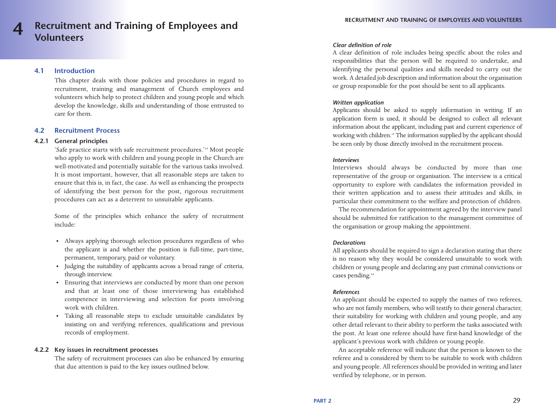# Recruitment and Training of Employees and<br> **Recruitment and Training of Employees and Volunteers**

## **4.1 Introduction**

This chapter deals with those policies and procedures in regard to recruitment, training and management of Church employees and volunteers which help to protect children and young people and which develop the knowledge, skills and understanding of those entrusted to care for them.

## **4.2 Recruitment Process**

#### **4.2.1 General principles**

'Safe practice starts with safe recruitment procedures.' <sup>14</sup> Most people who apply to work with children and young people in the Church are well-motivated and potentially suitable for the various tasks involved. It is most important, however, that all reasonable steps are taken to ensure that this is, in fact, the case. As well as enhancing the prospects of identifying the best person for the post, rigorous recruitment procedures can act as a deterrent to unsuitable applicants.

Some of the principles which enhance the safety of recruitment include:

- Always applying thorough selection procedures regardless of who the applicant is and whether the position is full-time, part-time, permanent, temporary, paid or voluntary.
- Judging the suitability of applicants across a broad range of criteria, through interview.
- Ensuring that interviews are conducted by more than one person and that at least one of those interviewing has established competence in interviewing and selection for posts involving work with children.
- Taking all reasonable steps to exclude unsuitable candidates by insisting on and verifying references, qualifications and previous records of employment.

#### **4.2.2 Key issues in recruitment processes**

The safety of recruitment processes can also be enhanced by ensuring that due attention is paid to the key issues outlined below.

#### *Clear definition of role*

A clear definition of role includes being specific about the roles and responsibilities that the person will be required to undertake, and identifying the personal qualities and skills needed to carry out the work. A detailed job description and information about the organisation or group responsible for the post should be sent to all applicants.

#### *Written application*

Applicants should be asked to supply information in writing. If an application form is used, it should be designed to collect all relevant information about the applicant, including past and current experience of working with children.<sup>15</sup> The information supplied by the applicant should be seen only by those directly involved in the recruitment process.

#### *Interviews*

Interviews should always be conducted by more than one representative of the group or organisation. The interview is a critical opportunity to explore with candidates the information provided in their written application and to assess their attitudes and skills, in particular their commitment to the welfare and protection of children.

The recommendation for appointment agreed by the interview panel should be submitted for ratification to the management committee of the organisation or group making the appointment.

#### *Declarations*

All applicants should be required to sign a declaration stating that there is no reason why they would be considered unsuitable to work with children or young people and declaring any past criminal convictions or cases pending.<sup>16</sup>

#### *References*

An applicant should be expected to supply the names of two referees, who are not family members, who will testify to their general character, their suitability for working with children and young people, and any other detail relevant to their ability to perform the tasks associated with the post. At least one referee should have first-hand knowledge of the applicant's previous work with children or young people.

An acceptable reference will indicate that the person is known to the referee and is considered by them to be suitable to work with children and young people. All references should be provided in writing and later verified by telephone, or in person.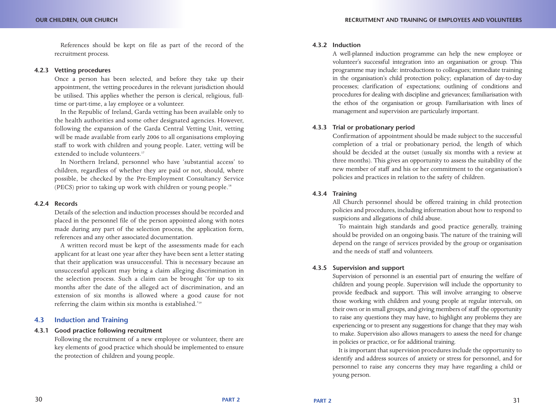References should be kept on file as part of the record of the recruitment process.

## **4.2.3 Vetting procedures**

Once a person has been selected, and before they take up their appointment, the vetting procedures in the relevant jurisdiction should be utilised. This applies whether the person is clerical, religious, fulltime or part-time, a lay employee or a volunteer.

In the Republic of Ireland, Garda vetting has been available only to the health authorities and some other designated agencies. However, following the expansion of the Garda Central Vetting Unit, vetting will be made available from early 2006 to all organisations employing staff to work with children and young people. Later, vetting will be extended to include volunteers.<sup>17</sup>

In Northern Ireland, personnel who have 'substantial access' to children, regardless of whether they are paid or not, should, where possible, be checked by the Pre-Employment Consultancy Service (PECS) prior to taking up work with children or young people.18

## **4.2.4 Records**

Details of the selection and induction processes should be recorded and placed in the personnel file of the person appointed along with notes made during any part of the selection process, the application form, references and any other associated documentation.

A written record must be kept of the assessments made for each applicant for at least one year after they have been sent a letter stating that their application was unsuccessful. This is necessary because an unsuccessful applicant may bring a claim alleging discrimination in the selection process. Such a claim can be brought 'for up to six months after the date of the alleged act of discrimination, and an extension of six months is allowed where a good cause for not referring the claim within six months is established.' 19

## **4.3 Induction and Training**

#### **4.3.1 Good practice following recruitment**

Following the recruitment of a new employee or volunteer, there are key elements of good practice which should be implemented to ensure the protection of children and young people.

#### **4.3.2 Induction**

A well-planned induction programme can help the new employee or volunteer's successful integration into an organisation or group. This programme may include: introductions to colleagues; immediate training in the organisation's child protection policy; explanation of day-to-day processes; clarification of expectations; outlining of conditions and procedures for dealing with discipline and grievances; familiarisation with the ethos of the organisation or group. Familiarisation with lines of management and supervision are particularly important.

## **4.3.3 Trial or probationary period**

Confirmation of appointment should be made subject to the successful completion of a trial or probationary period, the length of which should be decided at the outset (usually six months with a review at three months). This gives an opportunity to assess the suitability of the new member of staff and his or her commitment to the organisation's policies and practices in relation to the safety of children.

## **4.3.4 Training**

All Church personnel should be offered training in child protection policies and procedures, including information about how to respond to suspicions and allegations of child abuse.

To maintain high standards and good practice generally, training should be provided on an ongoing basis. The nature of the training will depend on the range of services provided by the group or organisation and the needs of staff and volunteers.

## **4.3.5 Supervision and support**

Supervision of personnel is an essential part of ensuring the welfare of children and young people. Supervision will include the opportunity to provide feedback and support. This will involve arranging to observe those working with children and young people at regular intervals, on their own or in small groups, and giving members of staff the opportunity to raise any questions they may have, to highlight any problems they are experiencing or to present any suggestions for change that they may wish to make. Supervision also allows managers to assess the need for change in policies or practice, or for additional training.

It is important that supervision procedures include the opportunity to identify and address sources of anxiety or stress for personnel, and for personnel to raise any concerns they may have regarding a child or young person.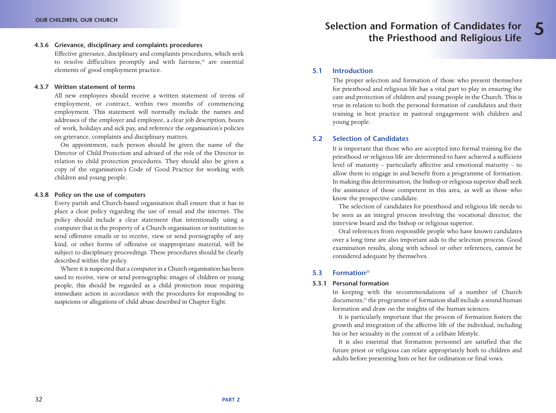#### **4.3.6 Grievance, disciplinary and complaints procedures**

Effective grievance, disciplinary and complaints procedures, which seek to resolve difficulties promptly and with fairness,<sup>20</sup> are essential elements of good employment practice.

#### **4.3.7 Written statement of terms**

All new employees should receive a written statement of terms of employment, or contract, within two months of commencing employment. This statement will normally include the names and addresses of the employer and employee, a clear job description, hours of work, holidays and sick pay, and reference the organisation's policies on grievance, complaints and disciplinary matters.

On appointment, each person should be given the name of the Director of Child Protection and advised of the role of the Director in relation to child protection procedures. They should also be given a copy of the organisation's Code of Good Practice for working with children and young people.

#### **4.3.8 Policy on the use of computers**

Every parish and Church-based organisation shall ensure that it has in place a clear policy regarding the use of email and the internet. The policy should include a clear statement that intentionally using a computer that is the property of a Church organisation or institution to send offensive emails or to receive, view or send pornography of any kind, or other forms of offensive or inappropriate material, will be subject to disciplinary proceedings. These procedures should be clearly described within the policy.

Where it is suspected that a computer in a Church organisation has been used to receive, view or send pornographic images of children or young people, this should be regarded as a child protection issue requiring immediate action in accordance with the procedures for responding to suspicions or allegations of child abuse described in Chapter Eight.

## **5.1 Introduction**

The proper selection and formation of those who present themselves for priesthood and religious life has a vital part to play in ensuring the care and protection of children and young people in the Church. This is true in relation to both the personal formation of candidates and their training in best practice in pastoral engagement with children and young people.

#### **5.2 Selection of Candidates**

It is important that those who are accepted into formal training for the priesthood or religious life are determined to have achieved a sufficient level of maturity – particularly affective and emotional maturity – to allow them to engage in and benefit from a programme of formation. In making this determination, the bishop or religious superior shall seek the assistance of those competent in this area, as well as those who know the prospective candidate.

The selection of candidates for priesthood and religious life needs to be seen as an integral process involving the vocational director, the interview board and the bishop or religious superior.

Oral references from responsible people who have known candidates over a long time are also important aids to the selection process. Good examination results, along with school or other references, cannot be considered adequate by themselves.

#### 5.3 Formation<sup>21</sup>

#### **5.3.1 Personal formation**

In keeping with the recommendations of a number of Church documents,<sup>22</sup> the programme of formation shall include a sound human formation and draw on the insights of the human sciences.

It is particularly important that the process of formation fosters the growth and integration of the affective life of the individual, including his or her sexuality in the context of a celibate lifestyle.

It is also essential that formation personnel are satisfied that the future priest or religious can relate appropriately both to children and adults before presenting him or her for ordination or final vows.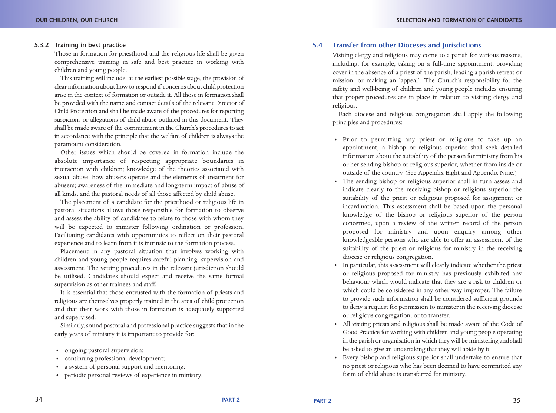## **5.3.2 Training in best practice**

Those in formation for priesthood and the religious life shall be given comprehensive training in safe and best practice in working with children and young people.

This training will include, at the earliest possible stage, the provision of clear information about how to respond if concerns about child protection arise in the context of formation or outside it. All those in formation shall be provided with the name and contact details of the relevant Director of Child Protection and shall be made aware of the procedures for reporting suspicions or allegations of child abuse outlined in this document. They shall be made aware of the commitment in the Church's procedures to act in accordance with the principle that the welfare of children is always the paramount consideration.

Other issues which should be covered in formation include the absolute importance of respecting appropriate boundaries in interaction with children; knowledge of the theories associated with sexual abuse, how abusers operate and the elements of treatment for abusers; awareness of the immediate and long-term impact of abuse of all kinds, and the pastoral needs of all those affected by child abuse.

The placement of a candidate for the priesthood or religious life in pastoral situations allows those responsible for formation to observe and assess the ability of candidates to relate to those with whom they will be expected to minister following ordination or profession. Facilitating candidates with opportunities to reflect on their pastoral experience and to learn from it is intrinsic to the formation process.

Placement in any pastoral situation that involves working with children and young people requires careful planning, supervision and assessment. The vetting procedures in the relevant jurisdiction should be utilised. Candidates should expect and receive the same formal supervision as other trainees and staff.

It is essential that those entrusted with the formation of priests and religious are themselves properly trained in the area of child protection and that their work with those in formation is adequately supported and supervised.

Similarly, sound pastoral and professional practice suggests that in the early years of ministry it is important to provide for:

- ongoing pastoral supervision;
- continuing professional development;
- a system of personal support and mentoring;
- periodic personal reviews of experience in ministry.

## **5.4 Transfer from other Dioceses and Jurisdictions**

Visiting clergy and religious may come to a parish for various reasons, including, for example, taking on a full-time appointment, providing cover in the absence of a priest of the parish, leading a parish retreat or mission, or making an 'appeal'. The Church's responsibility for the safety and well-being of children and young people includes ensuring that proper procedures are in place in relation to visiting clergy and religious.

Each diocese and religious congregation shall apply the following principles and procedures:

- Prior to permitting any priest or religious to take up an appointment, a bishop or religious superior shall seek detailed information about the suitability of the person for ministry from his or her sending bishop or religious superior, whether from inside or outside of the country. (See Appendix Eight and Appendix Nine.)
- The sending bishop or religious superior shall in turn assess and indicate clearly to the receiving bishop or religious superior the suitability of the priest or religious proposed for assignment or incardination. This assessment shall be based upon the personal knowledge of the bishop or religious superior of the person concerned, upon a review of the written record of the person proposed for ministry and upon enquiry among other knowledgeable persons who are able to offer an assessment of the suitability of the priest or religious for ministry in the receiving diocese or religious congregation.
- In particular, this assessment will clearly indicate whether the priest or religious proposed for ministry has previously exhibited any behaviour which would indicate that they are a risk to children or which could be considered in any other way improper. The failure to provide such information shall be considered sufficient grounds to deny a request for permission to minister in the receiving diocese or religious congregation, or to transfer.
- All visiting priests and religious shall be made aware of the Code of Good Practice for working with children and young people operating in the parish or organisation in which they will be ministering and shall be asked to give an undertaking that they will abide by it.
- Every bishop and religious superior shall undertake to ensure that no priest or religious who has been deemed to have committed any form of child abuse is transferred for ministry.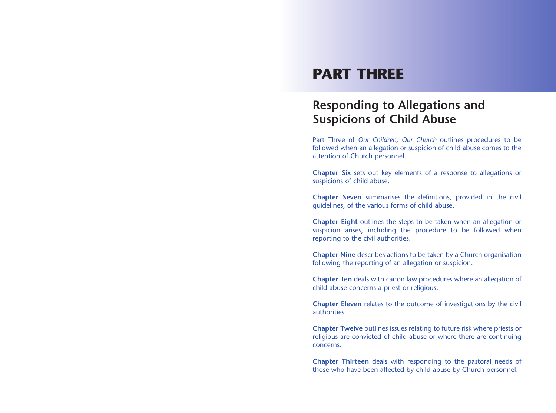# **PART THREE**

# **Responding to Allegations and Suspicions of Child Abuse**

Part Three of *Our Children, Our Church* outlines procedures to be followed when an allegation or suspicion of child abuse comes to the attention of Church personnel.

**Chapter Six** sets out key elements of a response to allegations or suspicions of child abuse.

**Chapter Seven** summarises the definitions, provided in the civil guidelines, of the various forms of child abuse.

**Chapter Eight** outlines the steps to be taken when an allegation or suspicion arises, including the procedure to be followed when reporting to the civil authorities.

**Chapter Nine** describes actions to be taken by a Church organisation following the reporting of an allegation or suspicion.

**Chapter Ten** deals with canon law procedures where an allegation of child abuse concerns a priest or religious.

**Chapter Eleven** relates to the outcome of investigations by the civil authorities.

**Chapter Twelve** outlines issues relating to future risk where priests or religious are convicted of child abuse or where there are continuing concerns.

**Chapter Thirteen** deals with responding to the pastoral needs of those who have been affected by child abuse by Church personnel.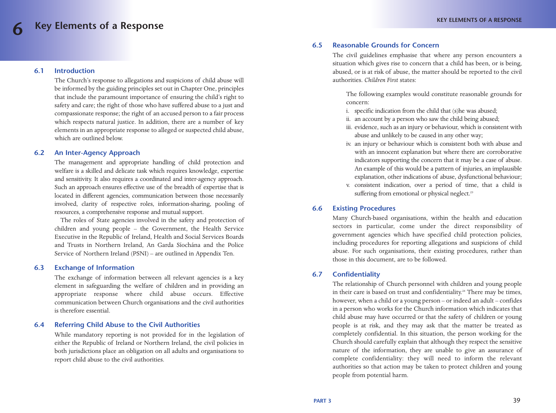# **6 Key Elements of a Response**

## **6.1 Introduction**

The Church's response to allegations and suspicions of child abuse will be informed by the guiding principles set out in Chapter One, principles that include the paramount importance of ensuring the child's right to safety and care; the right of those who have suffered abuse to a just and compassionate response; the right of an accused person to a fair process which respects natural justice. In addition, there are a number of key elements in an appropriate response to alleged or suspected child abuse, which are outlined below.

#### **6.2 An Inter-Agency Approach**

The management and appropriate handling of child protection and welfare is a skilled and delicate task which requires knowledge, expertise and sensitivity. It also requires a coordinated and inter-agency approach. Such an approach ensures effective use of the breadth of expertise that is located in different agencies, communication between those necessarily involved, clarity of respective roles, information-sharing, pooling of resources, a comprehensive response and mutual support.

The roles of State agencies involved in the safety and protection of children and young people – the Government, the Health Service Executive in the Republic of Ireland, Health and Social Services Boards and Trusts in Northern Ireland, An Garda Síochána and the Police Service of Northern Ireland (PSNI) – are outlined in Appendix Ten.

## **6.3 Exchange of Information**

The exchange of information between all relevant agencies is a key element in safeguarding the welfare of children and in providing an appropriate response where child abuse occurs. Effective communication between Church organisations and the civil authorities is therefore essential.

#### **6.4 Referring Child Abuse to the Civil Authorities**

While mandatory reporting is not provided for in the legislation of either the Republic of Ireland or Northern Ireland, the civil policies in both jurisdictions place an obligation on all adults and organisations to report child abuse to the civil authorities.

## **6.5 Reasonable Grounds for Concern**

The civil guidelines emphasise that where any person encounters a situation which gives rise to concern that a child has been, or is being, abused, or is at risk of abuse, the matter should be reported to the civil authorities. *Children First* states:

The following examples would constitute reasonable grounds for concern:

- i. specific indication from the child that (s)he was abused;
- ii. an account by a person who saw the child being abused;
- iii. evidence, such as an injury or behaviour, which is consistent with abuse and unlikely to be caused in any other way;
- iv. an injury or behaviour which is consistent both with abuse and with an innocent explanation but where there are corroborative indicators supporting the concern that it may be a case of abuse. An example of this would be a pattern of injuries, an implausible explanation, other indications of abuse, dysfunctional behaviour;
- v. consistent indication, over a period of time, that a child is suffering from emotional or physical neglect.<sup>23</sup>

#### **6.6 Existing Procedures**

Many Church-based organisations, within the health and education sectors in particular, come under the direct responsibility of government agencies which have specified child protection policies, including procedures for reporting allegations and suspicions of child abuse. For such organisations, their existing procedures, rather than those in this document, are to be followed.

#### **6.7 Confidentiality**

The relationship of Church personnel with children and young people in their care is based on trust and confidentiality.<sup>24</sup> There may be times, however, when a child or a young person – or indeed an adult – confides in a person who works for the Church information which indicates that child abuse may have occurred or that the safety of children or young people is at risk, and they may ask that the matter be treated as completely confidential. In this situation, the person working for the Church should carefully explain that although they respect the sensitive nature of the information, they are unable to give an assurance of complete confidentiality: they will need to inform the relevant authorities so that action may be taken to protect children and young people from potential harm.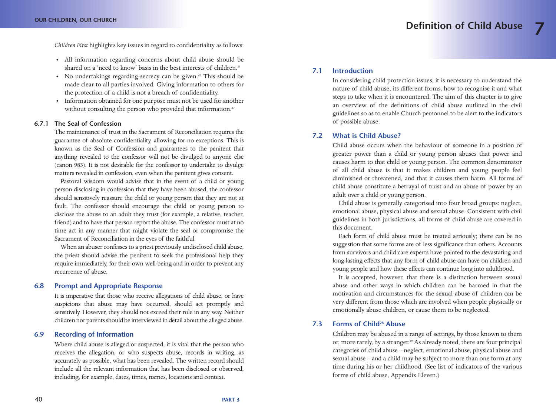*Children First* highlights key issues in regard to confidentiality as follows:

- All information regarding concerns about child abuse should be shared on a 'need to know' basis in the best interests of children.<sup>25</sup>
- No undertakings regarding secrecy can be given.<sup>26</sup> This should be made clear to all parties involved. Giving information to others for the protection of a child is not a breach of confidentiality.
- Information obtained for one purpose must not be used for another without consulting the person who provided that information.<sup>27</sup>

#### **6.7.1 The Seal of Confession**

The maintenance of trust in the Sacrament of Reconciliation requires the guarantee of absolute confidentiality, allowing for no exceptions. This is known as the Seal of Confession and guarantees to the penitent that anything revealed to the confessor will not be divulged to anyone else (canon 983). It is not desirable for the confessor to undertake to divulge matters revealed in confession, even when the penitent gives consent.

Pastoral wisdom would advise that in the event of a child or young person disclosing in confession that they have been abused, the confessor should sensitively reassure the child or young person that they are not at fault. The confessor should encourage the child or young person to disclose the abuse to an adult they trust (for example, a relative, teacher, friend) and to have that person report the abuse. The confessor must at no time act in any manner that might violate the seal or compromise the Sacrament of Reconciliation in the eyes of the faithful.

When an abuser confesses to a priest previously undisclosed child abuse, the priest should advise the penitent to seek the professional help they require immediately, for their own well-being and in order to prevent any recurrence of abuse.

#### **6.8 Prompt and Appropriate Response**

It is imperative that those who receive allegations of child abuse, or have suspicions that abuse may have occurred, should act promptly and sensitively. However, they should not exceed their role in any way. Neither children nor parents should be interviewed in detail about the alleged abuse.

## **6.9 Recording of Information**

Where child abuse is alleged or suspected, it is vital that the person who receives the allegation, or who suspects abuse, records in writing, as accurately as possible, what has been revealed. The written record should include all the relevant information that has been disclosed or observed, including, for example, dates, times, names, locations and context.

## **7.1 Introduction**

In considering child protection issues, it is necessary to understand the nature of child abuse, its different forms, how to recognise it and what steps to take when it is encountered. The aim of this chapter is to give an overview of the definitions of child abuse outlined in the civil guidelines so as to enable Church personnel to be alert to the indicators of possible abuse.

## **7.2 What is Child Abuse?**

Child abuse occurs when the behaviour of someone in a position of greater power than a child or young person abuses that power and causes harm to that child or young person. The common denominator of all child abuse is that it makes children and young people feel diminished or threatened, and that it causes them harm. All forms of child abuse constitute a betrayal of trust and an abuse of power by an adult over a child or young person.

Child abuse is generally categorised into four broad groups: neglect, emotional abuse, physical abuse and sexual abuse. Consistent with civil guidelines in both jurisdictions, all forms of child abuse are covered in this document.

Each form of child abuse must be treated seriously; there can be no suggestion that some forms are of less significance than others. Accounts from survivors and child care experts have pointed to the devastating and long-lasting effects that any form of child abuse can have on children and young people and how these effects can continue long into adulthood.

It is accepted, however, that there is a distinction between sexual abuse and other ways in which children can be harmed in that the motivation and circumstances for the sexual abuse of children can be very different from those which are involved when people physically or emotionally abuse children, or cause them to be neglected.

## **7.3 Forms of Child<sup>28</sup> Abuse**

Children may be abused in a range of settings, by those known to them or, more rarely, by a stranger.<sup>29</sup> As already noted, there are four principal categories of child abuse – neglect, emotional abuse, physical abuse and sexual abuse – and a child may be subject to more than one form at any time during his or her childhood. (See list of indicators of the various forms of child abuse, Appendix Eleven.)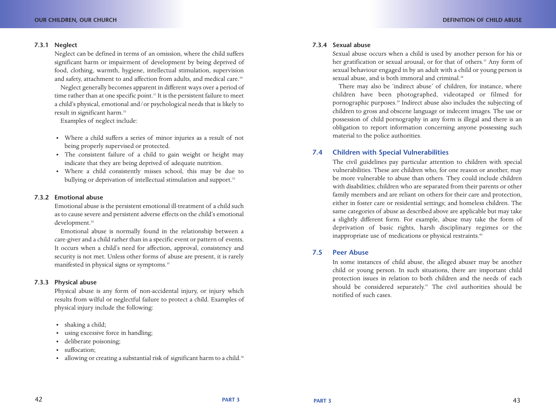#### **7.3.1 Neglect**

Neglect can be defined in terms of an omission, where the child suffers significant harm or impairment of development by being deprived of food, clothing, warmth, hygiene, intellectual stimulation, supervision and safety, attachment to and affection from adults, and medical care.<sup>30</sup>

Neglect generally becomes apparent in different ways over a period of time rather than at one specific point.<sup>31</sup> It is the persistent failure to meet a child's physical, emotional and/or psychological needs that is likely to result in significant harm.<sup>32</sup>

Examples of neglect include:

- Where a child suffers a series of minor injuries as a result of not being properly supervised or protected.
- The consistent failure of a child to gain weight or height may indicate that they are being deprived of adequate nutrition.
- Where a child consistently misses school, this may be due to bullying or deprivation of intellectual stimulation and support.<sup>33</sup>

#### **7.3.2 Emotional abuse**

Emotional abuse is the persistent emotional ill-treatment of a child such as to cause severe and persistent adverse effects on the child's emotional development.<sup>34</sup>

Emotional abuse is normally found in the relationship between a care-giver and a child rather than in a specific event or pattern of events. It occurs when a child's need for affection, approval, consistency and security is not met. Unless other forms of abuse are present, it is rarely manifested in physical signs or symptoms.<sup>35</sup>

#### **7.3.3 Physical abuse**

Physical abuse is any form of non-accidental injury, or injury which results from wilful or neglectful failure to protect a child. Examples of physical injury include the following:

- shaking a child;
- using excessive force in handling;
- deliberate poisoning;
- suffocation;
- allowing or creating a substantial risk of significant harm to a child.<sup>36</sup>

#### **7.3.4 Sexual abuse**

Sexual abuse occurs when a child is used by another person for his or her gratification or sexual arousal, or for that of others.<sup>37</sup> Any form of sexual behaviour engaged in by an adult with a child or young person is sexual abuse, and is both immoral and criminal.<sup>38</sup>

There may also be 'indirect abuse' of children, for instance, where children have been photographed, videotaped or filmed for pornographic purposes.<sup>39</sup> Indirect abuse also includes the subjecting of children to gross and obscene language or indecent images. The use or possession of child pornography in any form is illegal and there is an obligation to report information concerning anyone possessing such material to the police authorities.

## **7.4 Children with Special Vulnerabilities**

The civil guidelines pay particular attention to children with special vulnerabilities. These are children who, for one reason or another, may be more vulnerable to abuse than others. They could include children with disabilities; children who are separated from their parents or other family members and are reliant on others for their care and protection, either in foster care or residential settings; and homeless children. The same categories of abuse as described above are applicable but may take a slightly different form. For example, abuse may take the form of deprivation of basic rights, harsh disciplinary regimes or the inappropriate use of medications or physical restraints.<sup>40</sup>

#### **7.5 Peer Abuse**

In some instances of child abuse, the alleged abuser may be another child or young person. In such situations, there are important child protection issues in relation to both children and the needs of each should be considered separately.41 The civil authorities should be notified of such cases.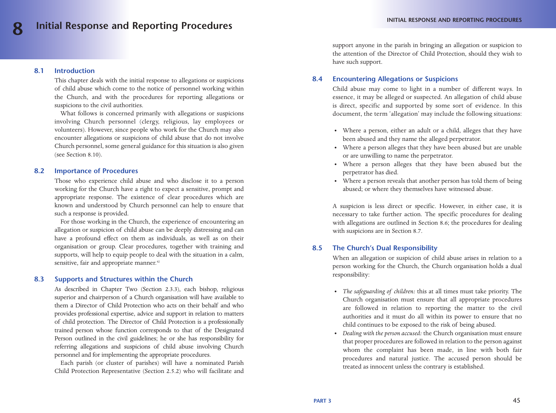# **8 Initial Response and Reporting Procedures**

## **8.1 Introduction**

This chapter deals with the initial response to allegations or suspicions of child abuse which come to the notice of personnel working within the Church, and with the procedures for reporting allegations or suspicions to the civil authorities.

What follows is concerned primarily with allegations or suspicions involving Church personnel (clergy, religious, lay employees or volunteers). However, since people who work for the Church may also encounter allegations or suspicions of child abuse that do not involve Church personnel, some general guidance for this situation is also given (see Section 8.10).

## **8.2 Importance of Procedures**

Those who experience child abuse and who disclose it to a person working for the Church have a right to expect a sensitive, prompt and appropriate response. The existence of clear procedures which are known and understood by Church personnel can help to ensure that such a response is provided.

For those working in the Church, the experience of encountering an allegation or suspicion of child abuse can be deeply distressing and can have a profound effect on them as individuals, as well as on their organisation or group. Clear procedures, together with training and supports, will help to equip people to deal with the situation in a calm, sensitive, fair and appropriate manner.<sup>42</sup>

#### **8.3 Supports and Structures within the Church**

As described in Chapter Two (Section 2.3.3), each bishop, religious superior and chairperson of a Church organisation will have available to them a Director of Child Protection who acts on their behalf and who provides professional expertise, advice and support in relation to matters of child protection. The Director of Child Protection is a professionally trained person whose function corresponds to that of the Designated Person outlined in the civil guidelines; he or she has responsibility for referring allegations and suspicions of child abuse involving Church personnel and for implementing the appropriate procedures.

Each parish (or cluster of parishes) will have a nominated Parish Child Protection Representative (Section 2.5.2) who will facilitate and

support anyone in the parish in bringing an allegation or suspicion to the attention of the Director of Child Protection, should they wish to have such support.

## **8.4 Encountering Allegations or Suspicions**

Child abuse may come to light in a number of different ways. In essence, it may be alleged or suspected. An allegation of child abuse is direct, specific and supported by some sort of evidence. In this document, the term 'allegation' may include the following situations:

- Where a person, either an adult or a child, alleges that they have been abused and they name the alleged perpetrator.
- Where a person alleges that they have been abused but are unable or are unwilling to name the perpetrator.
- Where a person alleges that they have been abused but the perpetrator has died.
- Where a person reveals that another person has told them of being abused; or where they themselves have witnessed abuse.

A suspicion is less direct or specific. However, in either case, it is necessary to take further action. The specific procedures for dealing with allegations are outlined in Section 8.6; the procedures for dealing with suspicions are in Section 8.7.

## **8.5 The Church's Dual Responsibility**

When an allegation or suspicion of child abuse arises in relation to a person working for the Church, the Church organisation holds a dual responsibility:

- *The safeguarding of children:* this at all times must take priority. The Church organisation must ensure that all appropriate procedures are followed in relation to reporting the matter to the civil authorities and it must do all within its power to ensure that no child continues to be exposed to the risk of being abused.
- *Dealing with the person accused:* the Church organisation must ensure that proper procedures are followed in relation to the person against whom the complaint has been made, in line with both fair procedures and natural justice. The accused person should be treated as innocent unless the contrary is established.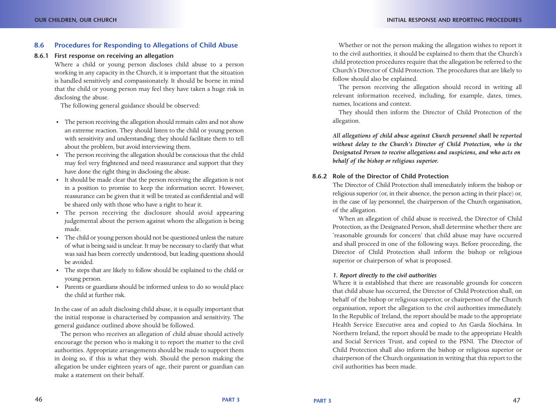## **8.6 Procedures for Responding to Allegations of Child Abuse**

## **8.6.1 First response on receiving an allegation**

Where a child or young person discloses child abuse to a person working in any capacity in the Church, it is important that the situation is handled sensitively and compassionately. It should be borne in mind that the child or young person may feel they have taken a huge risk in disclosing the abuse.

The following general guidance should be observed:

- The person receiving the allegation should remain calm and not show an extreme reaction. They should listen to the child or young person with sensitivity and understanding; they should facilitate them to tell about the problem, but avoid interviewing them.
- The person receiving the allegation should be conscious that the child may feel very frightened and need reassurance and support that they have done the right thing in disclosing the abuse.
- It should be made clear that the person receiving the allegation is not in a position to promise to keep the information secret. However, reassurance can be given that it will be treated as confidential and will be shared only with those who have a right to hear it.
- The person receiving the disclosure should avoid appearing judgemental about the person against whom the allegation is being made.
- The child or young person should not be questioned unless the nature of what is being said is unclear. It may be necessary to clarify that what was said has been correctly understood, but leading questions should be avoided.
- The steps that are likely to follow should be explained to the child or young person.
- Parents or guardians should be informed unless to do so would place the child at further risk.

In the case of an adult disclosing child abuse, it is equally important that the initial response is characterised by compassion and sensitivity. The general guidance outlined above should be followed.

The person who receives an allegation of child abuse should actively encourage the person who is making it to report the matter to the civil authorities. Appropriate arrangements should be made to support them in doing so, if this is what they wish. Should the person making the allegation be under eighteen years of age, their parent or guardian can make a statement on their behalf.

Whether or not the person making the allegation wishes to report it to the civil authorities, it should be explained to them that the Church's child protection procedures require that the allegation be referred to the Church's Director of Child Protection. The procedures that are likely to follow should also be explained.

The person receiving the allegation should record in writing all relevant information received, including, for example, dates, times, names, locations and context.

They should then inform the Director of Child Protection of the allegation.

*All allegations of child abuse against Church personnel shall be reported without delay to the Church's Director of Child Protection, who is the Designated Person to receive allegations and suspicions, and who acts on behalf of the bishop or religious superior.* 

## **8.6.2 Role of the Director of Child Protection**

The Director of Child Protection shall immediately inform the bishop or religious superior (or, in their absence, the person acting in their place) or, in the case of lay personnel, the chairperson of the Church organisation, of the allegation.

When an allegation of child abuse is received, the Director of Child Protection, as the Designated Person, shall determine whether there are 'reasonable grounds for concern' that child abuse may have occurred and shall proceed in one of the following ways. Before proceeding, the Director of Child Protection shall inform the bishop or religious superior or chairperson of what is proposed.

## *1. Report directly to the civil authorities*

Where it is established that there are reasonable grounds for concern that child abuse has occurred, the Director of Child Protection shall, on behalf of the bishop or religious superior, or chairperson of the Church organisation, report the allegation to the civil authorities immediately. In the Republic of Ireland, the report should be made to the appropriate Health Service Executive area and copied to An Garda Síochána. In Northern Ireland, the report should be made to the appropriate Health and Social Services Trust, and copied to the PSNI. The Director of Child Protection shall also inform the bishop or religious superior or chairperson of the Church organisation in writing that this report to the civil authorities has been made.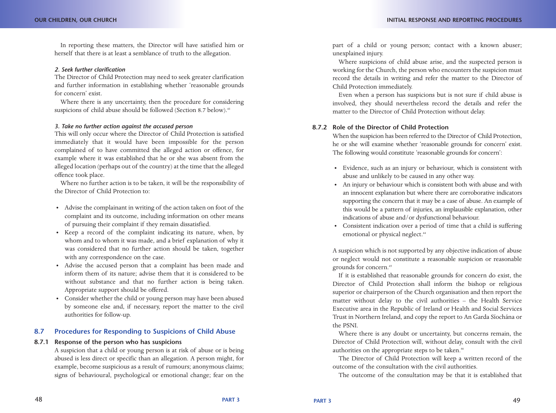In reporting these matters, the Director will have satisfied him or herself that there is at least a semblance of truth to the allegation.

#### *2. Seek further clarification*

The Director of Child Protection may need to seek greater clarification and further information in establishing whether 'reasonable grounds for concern' exist.

Where there is any uncertainty, then the procedure for considering suspicions of child abuse should be followed (Section 8.7 below).<sup>43</sup>

#### *3. Take no further action against the accused person*

This will only occur where the Director of Child Protection is satisfied immediately that it would have been impossible for the person complained of to have committed the alleged action or offence, for example where it was established that he or she was absent from the alleged location (perhaps out of the country) at the time that the alleged offence took place.

Where no further action is to be taken, it will be the responsibility of the Director of Child Protection to:

- Advise the complainant in writing of the action taken on foot of the complaint and its outcome, including information on other means of pursuing their complaint if they remain dissatisfied.
- Keep a record of the complaint indicating its nature, when, by whom and to whom it was made, and a brief explanation of why it was considered that no further action should be taken, together with any correspondence on the case.
- Advise the accused person that a complaint has been made and inform them of its nature; advise them that it is considered to be without substance and that no further action is being taken. Appropriate support should be offered.
- Consider whether the child or young person may have been abused by someone else and, if necessary, report the matter to the civil authorities for follow-up.

## **8.7 Procedures for Responding to Suspicions of Child Abuse**

#### **8.7.1 Response of the person who has suspicions**

A suspicion that a child or young person is at risk of abuse or is being abused is less direct or specific than an allegation. A person might, for example, become suspicious as a result of rumours; anonymous claims; signs of behavioural, psychological or emotional change; fear on the

part of a child or young person; contact with a known abuser; unexplained injury.

Where suspicions of child abuse arise, and the suspected person is working for the Church, the person who encounters the suspicion must record the details in writing and refer the matter to the Director of Child Protection immediately.

Even when a person has suspicions but is not sure if child abuse is involved, they should nevertheless record the details and refer the matter to the Director of Child Protection without delay.

#### **8.7.2 Role of the Director of Child Protection**

When the suspicion has been referred to the Director of Child Protection, he or she will examine whether 'reasonable grounds for concern' exist. The following would constitute 'reasonable grounds for concern':

- Evidence, such as an injury or behaviour, which is consistent with abuse and unlikely to be caused in any other way.
- An injury or behaviour which is consistent both with abuse and with an innocent explanation but where there are corroborative indicators supporting the concern that it may be a case of abuse. An example of this would be a pattern of injuries, an implausible explanation, other indications of abuse and/or dysfunctional behaviour.
- Consistent indication over a period of time that a child is suffering emotional or physical neglect.<sup>44</sup>

A suspicion which is not supported by any objective indication of abuse or neglect would not constitute a reasonable suspicion or reasonable grounds for concern.45

If it is established that reasonable grounds for concern do exist, the Director of Child Protection shall inform the bishop or religious superior or chairperson of the Church organisation and then report the matter without delay to the civil authorities – the Health Service Executive area in the Republic of Ireland or Health and Social Services Trust in Northern Ireland, and copy the report to An Garda Síochána or the PSNI.

Where there is any doubt or uncertainty, but concerns remain, the Director of Child Protection will, without delay, consult with the civil authorities on the appropriate steps to be taken.<sup>46</sup>

The Director of Child Protection will keep a written record of the outcome of the consultation with the civil authorities.

The outcome of the consultation may be that it is established that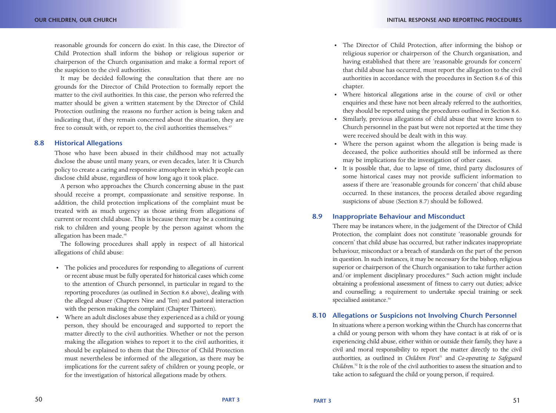reasonable grounds for concern do exist. In this case, the Director of Child Protection shall inform the bishop or religious superior or chairperson of the Church organisation and make a formal report of the suspicion to the civil authorities.

It may be decided following the consultation that there are no grounds for the Director of Child Protection to formally report the matter to the civil authorities. In this case, the person who referred the matter should be given a written statement by the Director of Child Protection outlining the reasons no further action is being taken and indicating that, if they remain concerned about the situation, they are free to consult with, or report to, the civil authorities themselves.<sup>47</sup>

## **8.8 Historical Allegations**

Those who have been abused in their childhood may not actually disclose the abuse until many years, or even decades, later. It is Church policy to create a caring and responsive atmosphere in which people can disclose child abuse, regardless of how long ago it took place.

A person who approaches the Church concerning abuse in the past should receive a prompt, compassionate and sensitive response. In addition, the child protection implications of the complaint must be treated with as much urgency as those arising from allegations of current or recent child abuse. This is because there may be a continuing risk to children and young people by the person against whom the allegation has been made.<sup>48</sup>

The following procedures shall apply in respect of all historical allegations of child abuse:

- The policies and procedures for responding to allegations of current or recent abuse must be fully operated for historical cases which come to the attention of Church personnel, in particular in regard to the reporting procedures (as outlined in Section 8.6 above), dealing with the alleged abuser (Chapters Nine and Ten) and pastoral interaction with the person making the complaint (Chapter Thirteen).
- Where an adult discloses abuse they experienced as a child or young person, they should be encouraged and supported to report the matter directly to the civil authorities. Whether or not the person making the allegation wishes to report it to the civil authorities, it should be explained to them that the Director of Child Protection must nevertheless be informed of the allegation, as there may be implications for the current safety of children or young people, or for the investigation of historical allegations made by others.
- The Director of Child Protection, after informing the bishop or religious superior or chairperson of the Church organisation, and having established that there are 'reasonable grounds for concern' that child abuse has occurred, must report the allegation to the civil authorities in accordance with the procedures in Section 8.6 of this chapter.
- Where historical allegations arise in the course of civil or other enquiries and these have not been already referred to the authorities, they should be reported using the procedures outlined in Section 8.6.
- Similarly, previous allegations of child abuse that were known to Church personnel in the past but were not reported at the time they were received should be dealt with in this way.
- Where the person against whom the allegation is being made is deceased, the police authorities should still be informed as there may be implications for the investigation of other cases.
- It is possible that, due to lapse of time, third party disclosures of some historical cases may not provide sufficient information to assess if there are 'reasonable grounds for concern' that child abuse occurred. In these instances, the process detailed above regarding suspicions of abuse (Section 8.7) should be followed.

## **8.9 Inappropriate Behaviour and Misconduct**

There may be instances where, in the judgement of the Director of Child Protection, the complaint does not constitute 'reasonable grounds for concern' that child abuse has occurred, but rather indicates inappropriate behaviour, misconduct or a breach of standards on the part of the person in question. In such instances, it may be necessary for the bishop, religious superior or chairperson of the Church organisation to take further action and/or implement disciplinary procedures.<sup>49</sup> Such action might include obtaining a professional assessment of fitness to carry out duties; advice and counselling; a requirement to undertake special training or seek specialised assistance.<sup>50</sup>

## **8.10 Allegations or Suspicions not Involving Church Personnel**

In situations where a person working within the Church has concerns that a child or young person with whom they have contact is at risk of or is experiencing child abuse, either within or outside their family, they have a civil and moral responsibility to report the matter directly to the civil authorities, as outlined in *Children First<sup>51</sup>* and *Co-operating to Safeguard Children*. <sup>52</sup> It is the role of the civil authorities to assess the situation and to take action to safeguard the child or young person, if required.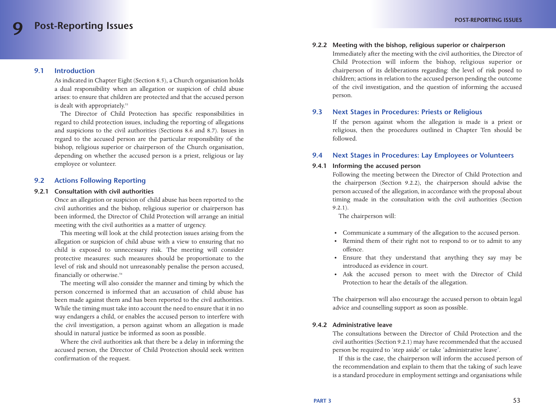# **Post-Reporting Issues**

## **9.1 Introduction**

**9**

As indicated in Chapter Eight (Section 8.5), a Church organisation holds a dual responsibility when an allegation or suspicion of child abuse arises: to ensure that children are protected and that the accused person is dealt with appropriately.<sup>53</sup>

The Director of Child Protection has specific responsibilities in regard to child protection issues, including the reporting of allegations and suspicions to the civil authorities (Sections 8.6 and 8.7). Issues in regard to the accused person are the particular responsibility of the bishop, religious superior or chairperson of the Church organisation, depending on whether the accused person is a priest, religious or lay employee or volunteer.

#### **9.2 Actions Following Reporting**

#### **9.2.1 Consultation with civil authorities**

Once an allegation or suspicion of child abuse has been reported to the civil authorities and the bishop, religious superior or chairperson has been informed, the Director of Child Protection will arrange an initial meeting with the civil authorities as a matter of urgency.

This meeting will look at the child protection issues arising from the allegation or suspicion of child abuse with a view to ensuring that no child is exposed to unnecessary risk. The meeting will consider protective measures: such measures should be proportionate to the level of risk and should not unreasonably penalise the person accused, financially or otherwise.<sup>54</sup>

The meeting will also consider the manner and timing by which the person concerned is informed that an accusation of child abuse has been made against them and has been reported to the civil authorities. While the timing must take into account the need to ensure that it in no way endangers a child, or enables the accused person to interfere with the civil investigation, a person against whom an allegation is made should in natural justice be informed as soon as possible.

Where the civil authorities ask that there be a delay in informing the accused person, the Director of Child Protection should seek written confirmation of the request.

#### **9.2.2 Meeting with the bishop, religious superior or chairperson**

Immediately after the meeting with the civil authorities, the Director of Child Protection will inform the bishop, religious superior or chairperson of its deliberations regarding: the level of risk posed to children; actions in relation to the accused person pending the outcome of the civil investigation, and the question of informing the accused person.

#### **9.3 Next Stages in Procedures: Priests or Religious**

If the person against whom the allegation is made is a priest or religious, then the procedures outlined in Chapter Ten should be followed.

#### **9.4 Next Stages in Procedures: Lay Employees or Volunteers**

#### **9.4.1 Informing the accused person**

Following the meeting between the Director of Child Protection and the chairperson (Section 9.2.2), the chairperson should advise the person accused of the allegation, in accordance with the proposal about timing made in the consultation with the civil authorities (Section 9.2.1).

The chairperson will:

- Communicate a summary of the allegation to the accused person.
- Remind them of their right not to respond to or to admit to any offence.
- Ensure that they understand that anything they say may be introduced as evidence in court.
- Ask the accused person to meet with the Director of Child Protection to hear the details of the allegation.

The chairperson will also encourage the accused person to obtain legal advice and counselling support as soon as possible.

#### **9.4.2 Administrative leave**

The consultations between the Director of Child Protection and the civil authorities (Section 9.2.1) may have recommended that the accused person be required to 'step aside' or take 'administrative leave'.

If this is the case, the chairperson will inform the accused person of the recommendation and explain to them that the taking of such leave is a standard procedure in employment settings and organisations while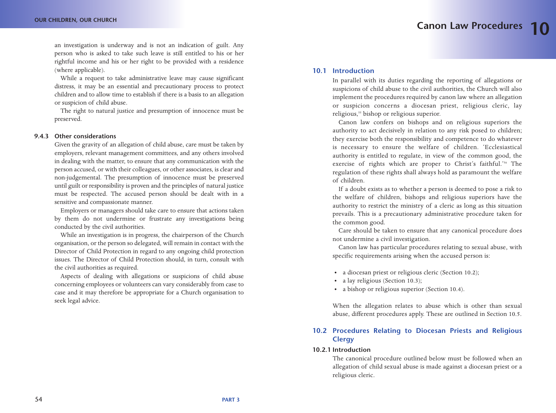an investigation is underway and is not an indication of guilt. Any person who is asked to take such leave is still entitled to his or her rightful income and his or her right to be provided with a residence (where applicable).

While a request to take administrative leave may cause significant distress, it may be an essential and precautionary process to protect children and to allow time to establish if there is a basis to an allegation or suspicion of child abuse.

The right to natural justice and presumption of innocence must be preserved.

#### **9.4.3 Other considerations**

Given the gravity of an allegation of child abuse, care must be taken by employers, relevant management committees, and any others involved in dealing with the matter, to ensure that any communication with the person accused, or with their colleagues, or other associates, is clear and non-judgemental. The presumption of innocence must be preserved until guilt or responsibility is proven and the principles of natural justice must be respected. The accused person should be dealt with in a sensitive and compassionate manner.

Employers or managers should take care to ensure that actions taken by them do not undermine or frustrate any investigations being conducted by the civil authorities.

While an investigation is in progress, the chairperson of the Church organisation, or the person so delegated, will remain in contact with the Director of Child Protection in regard to any ongoing child protection issues. The Director of Child Protection should, in turn, consult with the civil authorities as required.

Aspects of dealing with allegations or suspicions of child abuse concerning employees or volunteers can vary considerably from case to case and it may therefore be appropriate for a Church organisation to seek legal advice.

## **10.1 Introduction**

In parallel with its duties regarding the reporting of allegations or suspicions of child abuse to the civil authorities, the Church will also implement the procedures required by canon law where an allegation or suspicion concerns a diocesan priest, religious cleric, lay religious,<sup>55</sup> bishop or religious superior.

Canon law confers on bishops and on religious superiors the authority to act decisively in relation to any risk posed to children; they exercise both the responsibility and competence to do whatever is necessary to ensure the welfare of children. 'Ecclesiastical authority is entitled to regulate, in view of the common good, the exercise of rights which are proper to Christ's faithful.'<sup>56</sup> The regulation of these rights shall always hold as paramount the welfare of children.

If a doubt exists as to whether a person is deemed to pose a risk to the welfare of children, bishops and religious superiors have the authority to restrict the ministry of a cleric as long as this situation prevails. This is a precautionary administrative procedure taken for the common good.

Care should be taken to ensure that any canonical procedure does not undermine a civil investigation.

Canon law has particular procedures relating to sexual abuse, with specific requirements arising when the accused person is:

- a diocesan priest or religious cleric (Section 10.2);
- a lay religious (Section 10.3);
- a bishop or religious superior (Section 10.4).

When the allegation relates to abuse which is other than sexual abuse, different procedures apply. These are outlined in Section 10.5.

## **10.2 Procedures Relating to Diocesan Priests and Religious Clergy**

#### **10.2.1 Introduction**

The canonical procedure outlined below must be followed when an allegation of child sexual abuse is made against a diocesan priest or a religious cleric.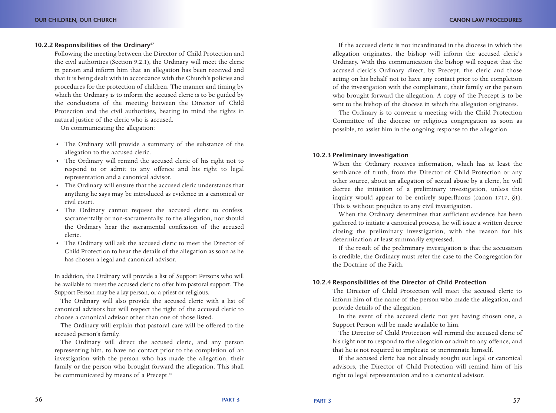#### 10.2.2 Responsibilities of the Ordinary<sup>57</sup>

Following the meeting between the Director of Child Protection and the civil authorities (Section 9.2.1), the Ordinary will meet the cleric in person and inform him that an allegation has been received and that it is being dealt with in accordance with the Church's policies and procedures for the protection of children. The manner and timing by which the Ordinary is to inform the accused cleric is to be guided by the conclusions of the meeting between the Director of Child Protection and the civil authorities, bearing in mind the rights in natural justice of the cleric who is accused.

On communicating the allegation:

- The Ordinary will provide a summary of the substance of the allegation to the accused cleric.
- The Ordinary will remind the accused cleric of his right not to respond to or admit to any offence and his right to legal representation and a canonical advisor.
- The Ordinary will ensure that the accused cleric understands that anything he says may be introduced as evidence in a canonical or civil court.
- The Ordinary cannot request the accused cleric to confess, sacramentally or non-sacramentally, to the allegation, nor should the Ordinary hear the sacramental confession of the accused cleric.
- The Ordinary will ask the accused cleric to meet the Director of Child Protection to hear the details of the allegation as soon as he has chosen a legal and canonical advisor.

In addition, the Ordinary will provide a list of Support Persons who will be available to meet the accused cleric to offer him pastoral support. The Support Person may be a lay person, or a priest or religious.

The Ordinary will also provide the accused cleric with a list of canonical advisors but will respect the right of the accused cleric to choose a canonical advisor other than one of those listed.

The Ordinary will explain that pastoral care will be offered to the accused person's family.

The Ordinary will direct the accused cleric, and any person representing him, to have no contact prior to the completion of an investigation with the person who has made the allegation, their family or the person who brought forward the allegation. This shall be communicated by means of a Precept.<sup>58</sup>

If the accused cleric is not incardinated in the diocese in which the allegation originates, the bishop will inform the accused cleric's Ordinary. With this communication the bishop will request that the accused cleric's Ordinary direct, by Precept, the cleric and those acting on his behalf not to have any contact prior to the completion of the investigation with the complainant, their family or the person who brought forward the allegation. A copy of the Precept is to be sent to the bishop of the diocese in which the allegation originates.

The Ordinary is to convene a meeting with the Child Protection Committee of the diocese or religious congregation as soon as possible, to assist him in the ongoing response to the allegation.

#### **10.2.3 Preliminary investigation**

When the Ordinary receives information, which has at least the semblance of truth, from the Director of Child Protection or any other source, about an allegation of sexual abuse by a cleric, he will decree the initiation of a preliminary investigation, unless this inquiry would appear to be entirely superfluous (canon 1717, §1). This is without prejudice to any civil investigation.

When the Ordinary determines that sufficient evidence has been gathered to initiate a canonical process, he will issue a written decree closing the preliminary investigation, with the reason for his determination at least summarily expressed.

If the result of the preliminary investigation is that the accusation is credible, the Ordinary must refer the case to the Congregation for the Doctrine of the Faith.

#### **10.2.4 Responsibilities of the Director of Child Protection**

The Director of Child Protection will meet the accused cleric to inform him of the name of the person who made the allegation, and provide details of the allegation.

In the event of the accused cleric not yet having chosen one, a Support Person will be made available to him.

The Director of Child Protection will remind the accused cleric of his right not to respond to the allegation or admit to any offence, and that he is not required to implicate or incriminate himself.

If the accused cleric has not already sought out legal or canonical advisors, the Director of Child Protection will remind him of his right to legal representation and to a canonical advisor.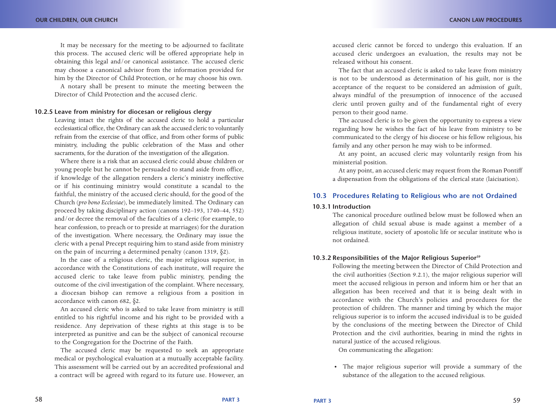It may be necessary for the meeting to be adjourned to facilitate this process. The accused cleric will be offered appropriate help in obtaining this legal and/or canonical assistance. The accused cleric may choose a canonical advisor from the information provided for him by the Director of Child Protection, or he may choose his own. A notary shall be present to minute the meeting between the

Director of Child Protection and the accused cleric.

#### **10.2.5 Leave from ministry for diocesan or religious clergy**

Leaving intact the rights of the accused cleric to hold a particular ecclesiastical office, the Ordinary can ask the accused cleric to voluntarily refrain from the exercise of that office, and from other forms of public ministry, including the public celebration of the Mass and other sacraments, for the duration of the investigation of the allegation.

Where there is a risk that an accused cleric could abuse children or young people but he cannot be persuaded to stand aside from office, if knowledge of the allegation renders a cleric's ministry ineffective or if his continuing ministry would constitute a scandal to the faithful, the ministry of the accused cleric should, for the good of the Church (*pro bono Ecclesiae*), be immediately limited. The Ordinary can proceed by taking disciplinary action (canons 192–193, 1740–44, 552) and/or decree the removal of the faculties of a cleric (for example, to hear confession, to preach or to preside at marriages) for the duration of the investigation. Where necessary, the Ordinary may issue the cleric with a penal Precept requiring him to stand aside from ministry on the pain of incurring a determined penalty (canon 1319,  $\S$ 2).

In the case of a religious cleric, the major religious superior, in accordance with the Constitutions of each institute, will require the accused cleric to take leave from public ministry, pending the outcome of the civil investigation of the complaint. Where necessary, a diocesan bishop can remove a religious from a position in accordance with canon 682, §2.

An accused cleric who is asked to take leave from ministry is still entitled to his rightful income and his right to be provided with a residence. Any deprivation of these rights at this stage is to be interpreted as punitive and can be the subject of canonical recourse to the Congregation for the Doctrine of the Faith.

The accused cleric may be requested to seek an appropriate medical or psychological evaluation at a mutually acceptable facility. This assessment will be carried out by an accredited professional and a contract will be agreed with regard to its future use. However, an accused cleric cannot be forced to undergo this evaluation. If an accused cleric undergoes an evaluation, the results may not be released without his consent.

The fact that an accused cleric is asked to take leave from ministry is not to be understood as determination of his guilt, nor is the acceptance of the request to be considered an admission of guilt, always mindful of the presumption of innocence of the accused cleric until proven guilty and of the fundamental right of every person to their good name.

The accused cleric is to be given the opportunity to express a view regarding how he wishes the fact of his leave from ministry to be communicated to the clergy of his diocese or his fellow religious, his family and any other person he may wish to be informed.

At any point, an accused cleric may voluntarily resign from his ministerial position.

At any point, an accused cleric may request from the Roman Pontiff a dispensation from the obligations of the clerical state (laicisation).

#### **10.3 Procedures Relating to Religious who are not Ordained**

## **10.3.1 Introduction**

The canonical procedure outlined below must be followed when an allegation of child sexual abuse is made against a member of a religious institute, society of apostolic life or secular institute who is not ordained.

#### **10.3.2 Responsibilities of the Major Religious Superior59**

Following the meeting between the Director of Child Protection and the civil authorities (Section 9.2.1), the major religious superior will meet the accused religious in person and inform him or her that an allegation has been received and that it is being dealt with in accordance with the Church's policies and procedures for the protection of children. The manner and timing by which the major religious superior is to inform the accused individual is to be guided by the conclusions of the meeting between the Director of Child Protection and the civil authorities, bearing in mind the rights in natural justice of the accused religious.

On communicating the allegation:

• The major religious superior will provide a summary of the substance of the allegation to the accused religious.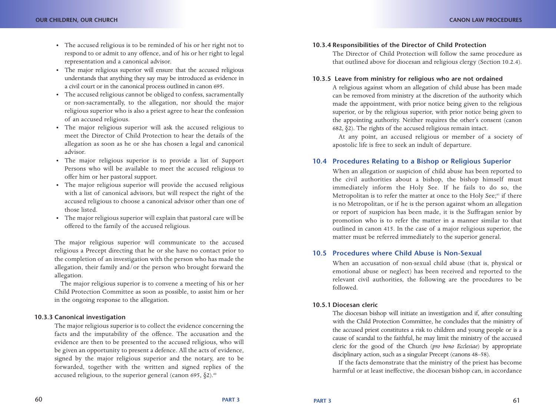- The accused religious is to be reminded of his or her right not to respond to or admit to any offence, and of his or her right to legal representation and a canonical advisor.
- The major religious superior will ensure that the accused religious understands that anything they say may be introduced as evidence in a civil court or in the canonical process outlined in canon 695.
- The accused religious cannot be obliged to confess, sacramentally or non-sacramentally, to the allegation, nor should the major religious superior who is also a priest agree to hear the confession of an accused religious.
- The major religious superior will ask the accused religious to meet the Director of Child Protection to hear the details of the allegation as soon as he or she has chosen a legal and canonical advisor.
- The major religious superior is to provide a list of Support Persons who will be available to meet the accused religious to offer him or her pastoral support.
- The major religious superior will provide the accused religious with a list of canonical advisors, but will respect the right of the accused religious to choose a canonical advisor other than one of those listed.
- The major religious superior will explain that pastoral care will be offered to the family of the accused religious.

The major religious superior will communicate to the accused religious a Precept directing that he or she have no contact prior to the completion of an investigation with the person who has made the allegation, their family and/or the person who brought forward the allegation.

The major religious superior is to convene a meeting of his or her Child Protection Committee as soon as possible, to assist him or her in the ongoing response to the allegation.

## **10.3.3 Canonical investigation**

The major religious superior is to collect the evidence concerning the facts and the imputability of the offence. The accusation and the evidence are then to be presented to the accused religious, who will be given an opportunity to present a defence. All the acts of evidence, signed by the major religious superior and the notary, are to be forwarded, together with the written and signed replies of the accused religious, to the superior general (canon 695,  $\S$ 2).<sup>60</sup>

#### **10.3.4 Responsibilities of the Director of Child Protection**

The Director of Child Protection will follow the same procedure as that outlined above for diocesan and religious clergy (Section 10.2.4).

#### **10.3.5 Leave from ministry for religious who are not ordained**

A religious against whom an allegation of child abuse has been made can be removed from ministry at the discretion of the authority which made the appointment, with prior notice being given to the religious superior, or by the religious superior, with prior notice being given to the appointing authority. Neither requires the other's consent (canon  $682, \, \&2$ ). The rights of the accused religious remain intact.

At any point, an accused religious or member of a society of apostolic life is free to seek an indult of departure.

#### **10.4 Procedures Relating to a Bishop or Religious Superior**

When an allegation or suspicion of child abuse has been reported to the civil authorities about a bishop, the bishop himself must immediately inform the Holy See. If he fails to do so, the Metropolitan is to refer the matter at once to the Holy See;<sup>61</sup> if there is no Metropolitan, or if he is the person against whom an allegation or report of suspicion has been made, it is the Suffragan senior by promotion who is to refer the matter in a manner similar to that outlined in canon 415. In the case of a major religious superior, the matter must be referred immediately to the superior general.

## **10.5 Procedures where Child Abuse is Non-Sexual**

When an accusation of non-sexual child abuse (that is, physical or emotional abuse or neglect) has been received and reported to the relevant civil authorities, the following are the procedures to be followed.

#### **10.5.1 Diocesan cleric**

The diocesan bishop will initiate an investigation and if, after consulting with the Child Protection Committee, he concludes that the ministry of the accused priest constitutes a risk to children and young people or is a cause of scandal to the faithful, he may limit the ministry of the accused cleric for the good of the Church (*pro bono Ecclesiae*) by appropriate disciplinary action, such as a singular Precept (canons 48–58).

If the facts demonstrate that the ministry of the priest has become harmful or at least ineffective, the diocesan bishop can, in accordance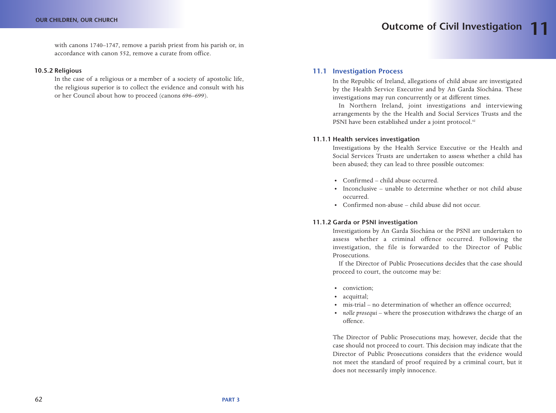with canons 1740–1747, remove a parish priest from his parish or, in accordance with canon 552, remove a curate from office.

#### **10.5.2 Religious**

In the case of a religious or a member of a society of apostolic life, the religious superior is to collect the evidence and consult with his or her Council about how to proceed (canons 696–699).

#### **11.1 Investigation Process**

In the Republic of Ireland, allegations of child abuse are investigated by the Health Service Executive and by An Garda Síochána. These investigations may run concurrently or at different times.

In Northern Ireland, joint investigations and interviewing arrangements by the the Health and Social Services Trusts and the PSNI have been established under a joint protocol.<sup>62</sup>

#### **11.1.1 Health services investigation**

Investigations by the Health Service Executive or the Health and Social Services Trusts are undertaken to assess whether a child has been abused; they can lead to three possible outcomes:

- Confirmed child abuse occurred.
- Inconclusive unable to determine whether or not child abuse occurred.
- Confirmed non-abuse child abuse did not occur.

#### **11.1.2 Garda or PSNI investigation**

Investigations by An Garda Síochána or the PSNI are undertaken to assess whether a criminal offence occurred. Following the investigation, the file is forwarded to the Director of Public Prosecutions.

If the Director of Public Prosecutions decides that the case should proceed to court, the outcome may be:

- conviction;
- acquittal;
- mis-trial no determination of whether an offence occurred;
- *nolle prosequi* where the prosecution withdraws the charge of an offence.

The Director of Public Prosecutions may, however, decide that the case should not proceed to court. This decision may indicate that the Director of Public Prosecutions considers that the evidence would not meet the standard of proof required by a criminal court, but it does not necessarily imply innocence.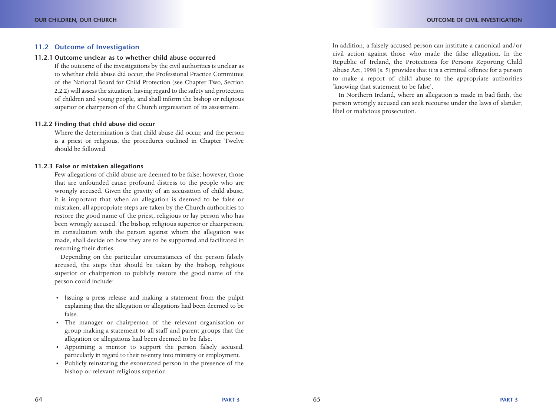## **11.2 Outcome of Investigation**

#### **11.2.1 Outcome unclear as to whether child abuse occurred**

If the outcome of the investigations by the civil authorities is unclear as to whether child abuse did occur, the Professional Practice Committee of the National Board for Child Protection (see Chapter Two, Section 2.2.2) will assess the situation, having regard to the safety and protection of children and young people, and shall inform the bishop or religious superior or chairperson of the Church organisation of its assessment.

#### **11.2.2 Finding that child abuse did occur**

Where the determination is that child abuse did occur, and the person is a priest or religious, the procedures outlined in Chapter Twelve should be followed.

## **11.2.3 False or mistaken allegations**

Few allegations of child abuse are deemed to be false; however, those that are unfounded cause profound distress to the people who are wrongly accused. Given the gravity of an accusation of child abuse, it is important that when an allegation is deemed to be false or mistaken, all appropriate steps are taken by the Church authorities to restore the good name of the priest, religious or lay person who has been wrongly accused. The bishop, religious superior or chairperson, in consultation with the person against whom the allegation was made, shall decide on how they are to be supported and facilitated in resuming their duties.

Depending on the particular circumstances of the person falsely accused, the steps that should be taken by the bishop, religious superior or chairperson to publicly restore the good name of the person could include:

- Issuing a press release and making a statement from the pulpit explaining that the allegation or allegations had been deemed to be false.
- The manager or chairperson of the relevant organisation or group making a statement to all staff and parent groups that the allegation or allegations had been deemed to be false.
- Appointing a mentor to support the person falsely accused, particularly in regard to their re-entry into ministry or employment.
- Publicly reinstating the exonerated person in the presence of the bishop or relevant religious superior.

In addition, a falsely accused person can institute a canonical and/or civil action against those who made the false allegation. In the Republic of Ireland, the Protections for Persons Reporting Child Abuse Act, 1998 (s. 5) provides that it is a criminal offence for a person to make a report of child abuse to the appropriate authorities 'knowing that statement to be false'.

In Northern Ireland, where an allegation is made in bad faith, the person wrongly accused can seek recourse under the laws of slander, libel or malicious prosecution.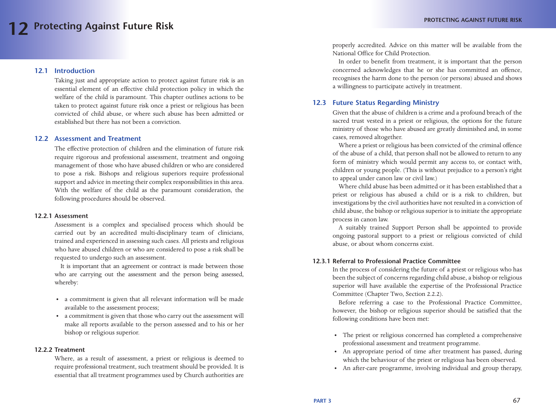## **Protecting Against Future Risk 12**

## **12.1 Introduction**

Taking just and appropriate action to protect against future risk is an essential element of an effective child protection policy in which the welfare of the child is paramount. This chapter outlines actions to be taken to protect against future risk once a priest or religious has been convicted of child abuse, or where such abuse has been admitted or established but there has not been a conviction.

## **12.2 Assessment and Treatment**

The effective protection of children and the elimination of future risk require rigorous and professional assessment, treatment and ongoing management of those who have abused children or who are considered to pose a risk. Bishops and religious superiors require professional support and advice in meeting their complex responsibilities in this area. With the welfare of the child as the paramount consideration, the following procedures should be observed.

#### **12.2.1 Assessment**

Assessment is a complex and specialised process which should be carried out by an accredited multi-disciplinary team of clinicians, trained and experienced in assessing such cases. All priests and religious who have abused children or who are considered to pose a risk shall be requested to undergo such an assessment.

It is important that an agreement or contract is made between those who are carrying out the assessment and the person being assessed, whereby:

- a commitment is given that all relevant information will be made available to the assessment process;
- a commitment is given that those who carry out the assessment will make all reports available to the person assessed and to his or her bishop or religious superior.

## **12.2.2 Treatment**

Where, as a result of assessment, a priest or religious is deemed to require professional treatment, such treatment should be provided. It is essential that all treatment programmes used by Church authorities are

properly accredited. Advice on this matter will be available from the National Office for Child Protection.

In order to benefit from treatment, it is important that the person concerned acknowledges that he or she has committed an offence, recognises the harm done to the person (or persons) abused and shows a willingness to participate actively in treatment.

## **12.3 Future Status Regarding Ministry**

Given that the abuse of children is a crime and a profound breach of the sacred trust vested in a priest or religious, the options for the future ministry of those who have abused are greatly diminished and, in some cases, removed altogether.

Where a priest or religious has been convicted of the criminal offence of the abuse of a child, that person shall not be allowed to return to any form of ministry which would permit any access to, or contact with, children or young people. (This is without prejudice to a person's right to appeal under canon law or civil law.)

Where child abuse has been admitted or it has been established that a priest or religious has abused a child or is a risk to children, but investigations by the civil authorities have not resulted in a conviction of child abuse, the bishop or religious superior is to initiate the appropriate process in canon law.

A suitably trained Support Person shall be appointed to provide ongoing pastoral support to a priest or religious convicted of child abuse, or about whom concerns exist.

## **12.3.1 Referral to Professional Practice Committee**

In the process of considering the future of a priest or religious who has been the subject of concerns regarding child abuse, a bishop or religious superior will have available the expertise of the Professional Practice Committee (Chapter Two, Section 2.2.2).

Before referring a case to the Professional Practice Committee, however, the bishop or religious superior should be satisfied that the following conditions have been met:

- The priest or religious concerned has completed a comprehensive professional assessment and treatment programme.
- An appropriate period of time after treatment has passed, during which the behaviour of the priest or religious has been observed.
- An after-care programme, involving individual and group therapy,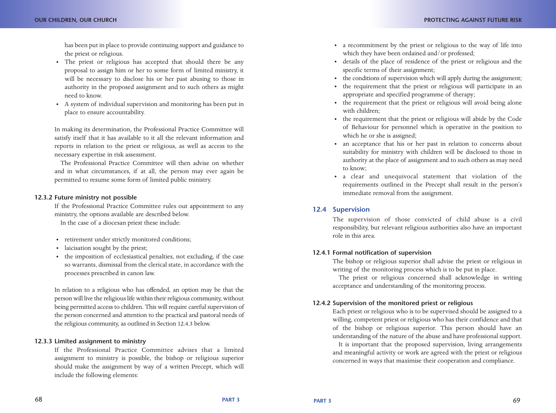has been put in place to provide continuing support and guidance to the priest or religious.

- The priest or religious has accepted that should there be any proposal to assign him or her to some form of limited ministry, it will be necessary to disclose his or her past abusing to those in authority in the proposed assignment and to such others as might need to know.
- A system of individual supervision and monitoring has been put in place to ensure accountability.

In making its determination, the Professional Practice Committee will satisfy itself that it has available to it all the relevant information and reports in relation to the priest or religious, as well as access to the necessary expertise in risk assessment.

The Professional Practice Committee will then advise on whether and in what circumstances, if at all, the person may ever again be permitted to resume some form of limited public ministry.

#### **12.3.2 Future ministry not possible**

If the Professional Practice Committee rules out appointment to any ministry, the options available are described below. In the case of a diocesan priest these include:

- retirement under strictly monitored conditions;
- laicisation sought by the priest;
- the imposition of ecclesiastical penalties, not excluding, if the case so warrants, dismissal from the clerical state, in accordance with the processes prescribed in canon law.

In relation to a religious who has offended, an option may be that the person will live the religious life within their religious community, without being permitted access to children. This will require careful supervision of the person concerned and attention to the practical and pastoral needs of the religious community, as outlined in Section 12.4.3 below.

#### **12.3.3 Limited assignment to ministry**

If the Professional Practice Committee advises that a limited assignment to ministry is possible, the bishop or religious superior should make the assignment by way of a written Precept, which will include the following elements:

- a recommitment by the priest or religious to the way of life into which they have been ordained and/or professed;
- details of the place of residence of the priest or religious and the specific terms of their assignment;
- the conditions of supervision which will apply during the assignment;
- the requirement that the priest or religious will participate in an appropriate and specified programme of therapy;
- the requirement that the priest or religious will avoid being alone with children;
- the requirement that the priest or religious will abide by the Code of Behaviour for personnel which is operative in the position to which he or she is assigned;
- an acceptance that his or her past in relation to concerns about suitability for ministry with children will be disclosed to those in authority at the place of assignment and to such others as may need to know;
- a clear and unequivocal statement that violation of the requirements outlined in the Precept shall result in the person's immediate removal from the assignment.

## **12.4 Supervision**

The supervision of those convicted of child abuse is a civil responsibility, but relevant religious authorities also have an important role in this area.

#### **12.4.1 Formal notification of supervision**

The bishop or religious superior shall advise the priest or religious in writing of the monitoring process which is to be put in place.

The priest or religious concerned shall acknowledge in writing acceptance and understanding of the monitoring process.

#### **12.4.2 Supervision of the monitored priest or religious**

Each priest or religious who is to be supervised should be assigned to a willing, competent priest or religious who has their confidence and that of the bishop or religious superior. This person should have an understanding of the nature of the abuse and have professional support.

It is important that the proposed supervision, living arrangements and meaningful activity or work are agreed with the priest or religious concerned in ways that maximise their cooperation and compliance.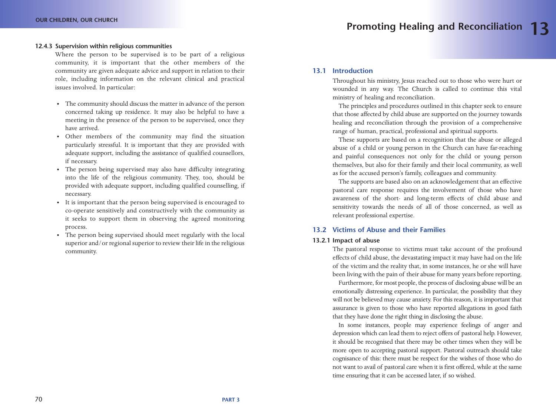#### **12.4.3 Supervision within religious communities**

Where the person to be supervised is to be part of a religious community, it is important that the other members of the community are given adequate advice and support in relation to their role, including information on the relevant clinical and practical issues involved. In particular:

- The community should discuss the matter in advance of the person concerned taking up residence. It may also be helpful to have a meeting in the presence of the person to be supervised, once they have arrived.
- Other members of the community may find the situation particularly stressful. It is important that they are provided with adequate support, including the assistance of qualified counsellors, if necessary.
- The person being supervised may also have difficulty integrating into the life of the religious community. They, too, should be provided with adequate support, including qualified counselling, if necessary.
- It is important that the person being supervised is encouraged to co-operate sensitively and constructively with the community as it seeks to support them in observing the agreed monitoring process.
- The person being supervised should meet regularly with the local superior and/or regional superior to review their life in the religious community.

## **13.1 Introduction**

Throughout his ministry, Jesus reached out to those who were hurt or wounded in any way. The Church is called to continue this vital ministry of healing and reconciliation.

The principles and procedures outlined in this chapter seek to ensure that those affected by child abuse are supported on the journey towards healing and reconciliation through the provision of a comprehensive range of human, practical, professional and spiritual supports.

These supports are based on a recognition that the abuse or alleged abuse of a child or young person in the Church can have far-reaching and painful consequences not only for the child or young person themselves, but also for their family and their local community, as well as for the accused person's family, colleagues and community.

The supports are based also on an acknowledgement that an effective pastoral care response requires the involvement of those who have awareness of the short- and long-term effects of child abuse and sensitivity towards the needs of all of those concerned, as well as relevant professional expertise.

#### **13.2 Victims of Abuse and their Families**

#### **13.2.1 Impact of abuse**

The pastoral response to victims must take account of the profound effects of child abuse, the devastating impact it may have had on the life of the victim and the reality that, in some instances, he or she will have been living with the pain of their abuse for many years before reporting.

Furthermore, for most people, the process of disclosing abuse will be an emotionally distressing experience. In particular, the possibility that they will not be believed may cause anxiety. For this reason, it is important that assurance is given to those who have reported allegations in good faith that they have done the right thing in disclosing the abuse.

In some instances, people may experience feelings of anger and depression which can lead them to reject offers of pastoral help. However, it should be recognised that there may be other times when they will be more open to accepting pastoral support. Pastoral outreach should take cognisance of this: there must be respect for the wishes of those who do not want to avail of pastoral care when it is first offered, while at the same time ensuring that it can be accessed later, if so wished.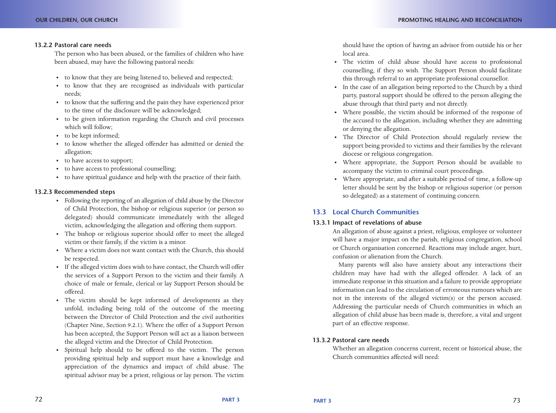#### **13.2.2 Pastoral care needs**

The person who has been abused, or the families of children who have been abused, may have the following pastoral needs:

- to know that they are being listened to, believed and respected;
- to know that they are recognised as individuals with particular needs;
- to know that the suffering and the pain they have experienced prior to the time of the disclosure will be acknowledged;
- to be given information regarding the Church and civil processes which will follow;
- to be kept informed;
- to know whether the alleged offender has admitted or denied the allegation;
- to have access to support;
- to have access to professional counselling;
- to have spiritual guidance and help with the practice of their faith.

## **13.2.3 Recommended steps**

- Following the reporting of an allegation of child abuse by the Director of Child Protection, the bishop or religious superior (or person so delegated) should communicate immediately with the alleged victim, acknowledging the allegation and offering them support.
- The bishop or religious superior should offer to meet the alleged victim or their family, if the victim is a minor.
- Where a victim does not want contact with the Church, this should be respected.
- If the alleged victim does wish to have contact, the Church will offer the services of a Support Person to the victim and their family. A choice of male or female, clerical or lay Support Person should be offered.
- The victim should be kept informed of developments as they unfold, including being told of the outcome of the meeting between the Director of Child Protection and the civil authorities (Chapter Nine, Section 9.2.1). Where the offer of a Support Person has been accepted, the Support Person will act as a liaison between the alleged victim and the Director of Child Protection.
- Spiritual help should to be offered to the victim. The person providing spiritual help and support must have a knowledge and appreciation of the dynamics and impact of child abuse. The spiritual advisor may be a priest, religious or lay person. The victim

should have the option of having an advisor from outside his or her local area.

- The victim of child abuse should have access to professional counselling, if they so wish. The Support Person should facilitate this through referral to an appropriate professional counsellor.
- In the case of an allegation being reported to the Church by a third party, pastoral support should be offered to the person alleging the abuse through that third party and not directly.
- Where possible, the victim should be informed of the response of the accused to the allegation, including whether they are admitting or denying the allegation.
- The Director of Child Protection should regularly review the support being provided to victims and their families by the relevant diocese or religious congregation.
- Where appropriate, the Support Person should be available to accompany the victim to criminal court proceedings.
- Where appropriate, and after a suitable period of time, a follow-up letter should be sent by the bishop or religious superior (or person so delegated) as a statement of continuing concern.

## **13.3 Local Church Communities**

## **13.3.1 Impact of revelations of abuse**

An allegation of abuse against a priest, religious, employee or volunteer will have a major impact on the parish, religious congregation, school or Church organisation concerned. Reactions may include anger, hurt, confusion or alienation from the Church.

Many parents will also have anxiety about any interactions their children may have had with the alleged offender. A lack of an immediate response in this situation and a failure to provide appropriate information can lead to the circulation of erroneous rumours which are not in the interests of the alleged victim(s) or the person accused. Addressing the particular needs of Church communities in which an allegation of child abuse has been made is, therefore, a vital and urgent part of an effective response.

## **13.3.2 Pastoral care needs**

Whether an allegation concerns current, recent or historical abuse, the Church communities affected will need: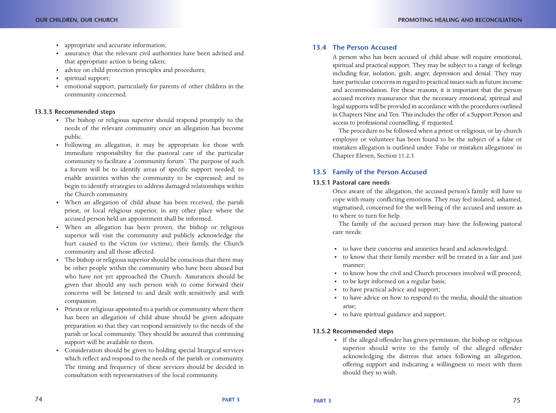- appropriate and accurate information;
- assurance that the relevant civil authorities have been advised and that appropriate action is being taken;
- advice on child protection principles and procedures;
- spiritual support;
- emotional support, particularly for parents of other children in the community concerned.

## **13.3.3 Recommended steps**

- The bishop or religious superior should respond promptly to the needs of the relevant community once an allegation has become public.
- Following an allegation, it may be appropriate for those with immediate responsibility for the pastoral care of the particular community to facilitate a 'community forum'. The purpose of such a forum will be to identify areas of specific support needed; to enable anxieties within the community to be expressed; and to begin to identify strategies to address damaged relationships within the Church community.
- When an allegation of child abuse has been received, the parish priest, or local religious superior, in any other place where the accused person held an appointment shall be informed.
- When an allegation has been proven, the bishop or religious superior will visit the community and publicly acknowledge the hurt caused to the victim (or victims), their family, the Church community and all those affected.
- The bishop or religious superior should be conscious that there may be other people within the community who have been abused but who have not yet approached the Church. Assurances should be given that should any such person wish to come forward their concerns will be listened to and dealt with sensitively and with compassion.
- Priests or religious appointed to a parish or community where there has been an allegation of child abuse should be given adequate preparation so that they can respond sensitively to the needs of the parish or local community. They should be assured that continuing support will be available to them.
- Consideration should be given to holding special liturgical services which reflect and respond to the needs of the parish or community. The timing and frequency of these services should be decided in consultation with representatives of the local community.

## **13.4 The Person Accused**

A person who has been accused of child abuse will require emotional, spiritual and practical support. They may be subject to a range of feelings including fear, isolation, guilt, anger, depression and denial. They may have particular concerns in regard to practical issues such as future income and accommodation. For these reasons, it is important that the person accused receives reassurance that the necessary emotional, spiritual and legal supports will be provided in accordance with the procedures outlined in Chapters Nine and Ten. This includes the offer of a Support Person and access to professional counselling, if requested.

The procedure to be followed when a priest or religious, or lay church employee or volunteer has been found to be the subject of a false or mistaken allegation is outlined under 'False or mistaken allegations' in Chapter Eleven, Section 11.2.3.

## **13.5 Family of the Person Accused**

## **13.5.1 Pastoral care needs**

Once aware of the allegation, the accused person's family will have to cope with many conflicting emotions. They may feel isolated, ashamed, stigmatised, concerned for the well-being of the accused and unsure as to where to turn for help.

The family of the accused person may have the following pastoral care needs:

- to have their concerns and anxieties heard and acknowledged;
- to know that their family member will be treated in a fair and just manner;
- to know how the civil and Church processes involved will proceed;
- to be kept informed on a regular basis;
- to have practical advice and support;
- to have advice on how to respond to the media, should the situation arise;
- to have spiritual guidance and support.

## **13.5.2 Recommended steps**

• If the alleged offender has given permission, the bishop or religious superior should write to the family of the alleged offender acknowledging the distress that arises following an allegation, offering support and indicating a willingness to meet with them should they so wish.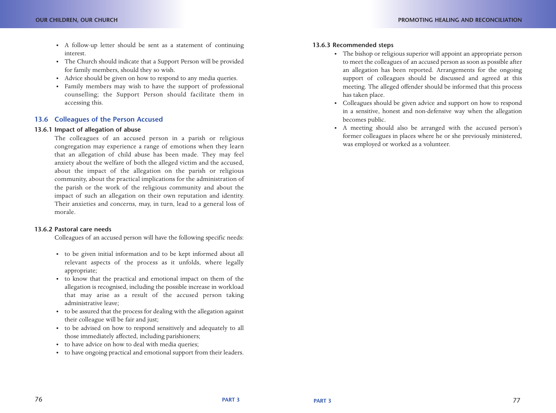- A follow-up letter should be sent as a statement of continuing interest.
- The Church should indicate that a Support Person will be provided for family members, should they so wish.
- Advice should be given on how to respond to any media queries.
- Family members may wish to have the support of professional counselling; the Support Person should facilitate them in accessing this.

## **13.6 Colleagues of the Person Accused**

#### **13.6.1 Impact of allegation of abuse**

The colleagues of an accused person in a parish or religious congregation may experience a range of emotions when they learn that an allegation of child abuse has been made. They may feel anxiety about the welfare of both the alleged victim and the accused, about the impact of the allegation on the parish or religious community, about the practical implications for the administration of the parish or the work of the religious community and about the impact of such an allegation on their own reputation and identity. Their anxieties and concerns, may, in turn, lead to a general loss of morale.

#### **13.6.2 Pastoral care needs**

Colleagues of an accused person will have the following specific needs:

- to be given initial information and to be kept informed about all relevant aspects of the process as it unfolds, where legally appropriate;
- to know that the practical and emotional impact on them of the allegation is recognised, including the possible increase in workload that may arise as a result of the accused person taking administrative leave;
- to be assured that the process for dealing with the allegation against their colleague will be fair and just;
- to be advised on how to respond sensitively and adequately to all those immediately affected, including parishioners;
- to have advice on how to deal with media queries;
- to have ongoing practical and emotional support from their leaders.

### **13.6.3 Recommended steps**

- The bishop or religious superior will appoint an appropriate person to meet the colleagues of an accused person as soon as possible after an allegation has been reported. Arrangements for the ongoing support of colleagues should be discussed and agreed at this meeting. The alleged offender should be informed that this process has taken place.
- Colleagues should be given advice and support on how to respond in a sensitive, honest and non-defensive way when the allegation becomes public.
- A meeting should also be arranged with the accused person's former colleagues in places where he or she previously ministered, was employed or worked as a volunteer.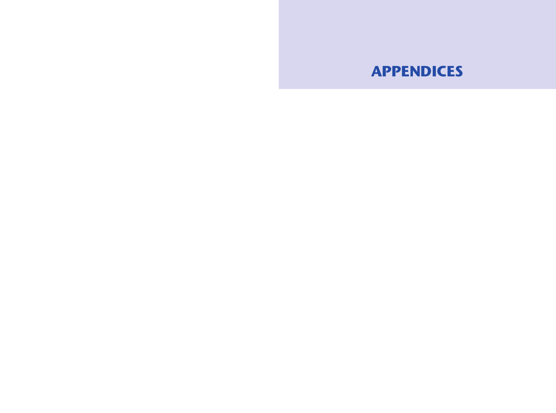# **APPENDICES**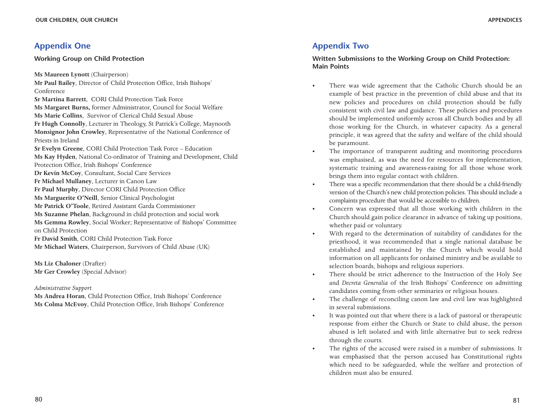# **Appendix One**

## **Working Group on Child Protection**

**Ms Maureen Lynott** (Chairperson)

**Mr Paul Bailey**, Director of Child Protection Office, Irish Bishops' Conference

**Sr Martina Barrett**, CORI Child Protection Task Force

**Ms Margaret Burns,** former Administrator, Council for Social Welfare **Ms Marie Collins**, Survivor of Clerical Child Sexual Abuse

**Fr Hugh Connolly**, Lecturer in Theology, St Patrick's College, Maynooth **Monsignor John Crowley**, Representative of the National Conference of Priests in Ireland

**Sr Evelyn Greene**, CORI Child Protection Task Force – Education **Ms Kay Hyden**, National Co-ordinator of Training and Development, Child

Protection Office, Irish Bishops' Conference

**Dr Kevin McCoy**, Consultant, Social Care Services

**Fr Michael Mullaney**, Lecturer in Canon Law

**Fr Paul Murphy**, Director CORI Child Protection Office

**Ms Marguerite O'Neill**, Senior Clinical Psychologist

**Mr Patrick O'Toole**, Retired Assistant Garda Commissioner

**Ms Suzanne Phelan**, Background in child protection and social work

**Ms Gemma Rowley**, Social Worker; Representative of Bishops' Committee on Child Protection

**Fr David Smith**, CORI Child Protection Task Force

**Mr Michael Waters**, Chairperson, Survivors of Child Abuse (UK)

**Ms Liz Chaloner** (Drafter) **Mr Ger Crowley** (Special Advisor)

## *Administrative Support*

**Ms Andrea Horan**, Child Protection Office, Irish Bishops' Conference **Ms Colma McEvoy**, Child Protection Office, Irish Bishops' Conference

# **Appendix Two**

## **Written Submissions to the Working Group on Child Protection: Main Points**

- There was wide agreement that the Catholic Church should be an example of best practice in the prevention of child abuse and that its new policies and procedures on child protection should be fully consistent with civil law and guidance. These policies and procedures should be implemented uniformly across all Church bodies and by all those working for the Church, in whatever capacity. As a general principle, it was agreed that the safety and welfare of the child should be paramount.
- The importance of transparent auditing and monitoring procedures was emphasised, as was the need for resources for implementation, systematic training and awareness-raising for all those whose work brings them into regular contact with children.
- There was a specific recommendation that there should be a child-friendly version of the Church's new child protection policies. This should include a complaints procedure that would be accessible to children.
- Concern was expressed that all those working with children in the Church should gain police clearance in advance of taking up positions, whether paid or voluntary.
- With regard to the determination of suitability of candidates for the priesthood, it was recommended that a single national database be established and maintained by the Church which would hold information on all applicants for ordained ministry and be available to selection boards, bishops and religious superiors.
- There should be strict adherence to the Instruction of the Holy See and *Decreta Generalia* of the Irish Bishops' Conference on admitting candidates coming from other seminaries or religious houses.
- The challenge of reconciling canon law and civil law was highlighted in several submissions.
- It was pointed out that where there is a lack of pastoral or therapeutic response from either the Church or State to child abuse, the person abused is left isolated and with little alternative but to seek redress through the courts.
- The rights of the accused were raised in a number of submissions. It was emphasised that the person accused has Constitutional rights which need to be safeguarded, while the welfare and protection of children must also be ensured.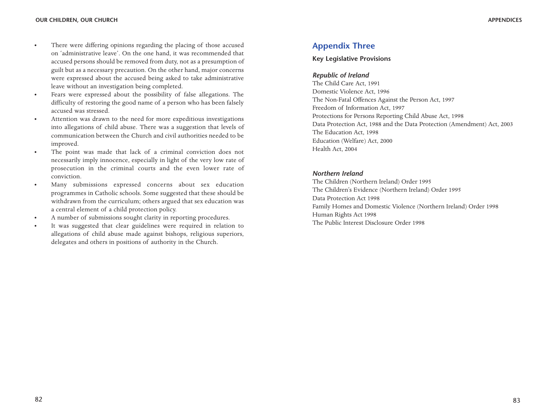- There were differing opinions regarding the placing of those accused on 'administrative leave'. On the one hand, it was recommended that accused persons should be removed from duty, not as a presumption of guilt but as a necessary precaution. On the other hand, major concerns were expressed about the accused being asked to take administrative leave without an investigation being completed.
- Fears were expressed about the possibility of false allegations. The difficulty of restoring the good name of a person who has been falsely accused was stressed.
- Attention was drawn to the need for more expeditious investigations into allegations of child abuse. There was a suggestion that levels of communication between the Church and civil authorities needed to be improved.
- The point was made that lack of a criminal conviction does not necessarily imply innocence, especially in light of the very low rate of prosecution in the criminal courts and the even lower rate of conviction.
- Many submissions expressed concerns about sex education programmes in Catholic schools. Some suggested that these should be withdrawn from the curriculum; others argued that sex education was a central element of a child protection policy.
- A number of submissions sought clarity in reporting procedures.
- It was suggested that clear guidelines were required in relation to allegations of child abuse made against bishops, religious superiors, delegates and others in positions of authority in the Church.

# **Appendix Three**

## **Key Legislative Provisions**

## *Republic of Ireland*

The Child Care Act, 1991 Domestic Violence Act, 1996 The Non-Fatal Offences Against the Person Act, 1997 Freedom of Information Act, 1997 Protections for Persons Reporting Child Abuse Act, 1998 Data Protection Act, 1988 and the Data Protection (Amendment) Act, 2003 The Education Act, 1998 Education (Welfare) Act, 2000 Health Act, 2004

## *Northern Ireland*

The Children (Northern Ireland) Order 1995 The Children's Evidence (Northern Ireland) Order 1995 Data Protection Act 1998 Family Homes and Domestic Violence (Northern Ireland) Order 1998 Human Rights Act 1998 The Public Interest Disclosure Order 1998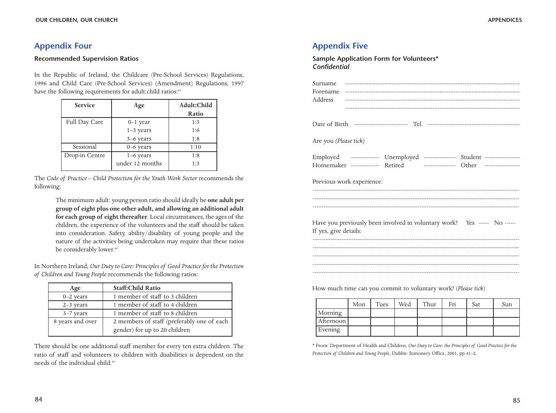## **Appendix Four**

## **Recommended Supervision Ratios**

In the Republic of Ireland, the Childcare (Pre-School Services) Regulations, 1996 and Child Care (Pre-School Services) (Amendment) Regulations, 1997 have the following requirements for adult:child ratios:<sup>63</sup>

| <b>Service</b> | Age             | Adult:Child |
|----------------|-----------------|-------------|
|                |                 | Ratio       |
| Full Day Care  | $0-1$ year      | 1:3         |
|                | $1-3$ years     | 1:6         |
|                | 3-6 years       | 1:8         |
| Sessional      | $0 - 6$ years   | 1:10        |
| Drop-in Centre | $1-6$ years     | 1:8         |
|                | under 12 months | 1:3         |

The *Code of Practice – Child Protection for the Youth Work Sector recommends the* following:

> The minimum adult: young person ratio should ideally be **one adult per group of eight plus one other adult, and allowing an additional adult for each group of eight thereafter**. Local circumstances, the ages of the children, the experience of the volunteers and the staff should be taken into consideration. Safety, ability/disability of young people and the nature of the activities being undertaken may require that these ratios be considerably lower.<sup>64</sup>

In Northern Ireland*, Our Duty to Care: Principles of Good Practice for the Protection of Children and Young People* recommends the following ratios:

| Age              | <b>Staff:Child Ratio</b>                   |
|------------------|--------------------------------------------|
| $0 - 2$ years    | 1 member of staff to 3 children            |
| $2-3$ years      | 1 member of staff to 4 children            |
| $3-7$ years      | 1 member of staff to 8 children            |
| 8 years and over | 2 members of staff (preferably one of each |
|                  | gender) for up to 20 children              |

There should be one additional staff member for every ten extra children. The ratio of staff and volunteers to children with disabilities is dependent on the needs of the individual child.<sup>65</sup>

## **Appendix Five**

**Sample Application Form for Volunteers\*** *Confidential* Surname -------------------------------------------------------------------------------------------------- Forename -------------------------------------------------------------------------------------------------- Address -------------------------------------------------------------------------------------------------- -------------------------------------------------------------------------------------------------- Date of Birth ------------------------------ Tel. ---------------------------------------------------- Are you *(Please tick)* Employed ---------------- Unemployed ------------------ Student -------------------- Homemaker ---------------- Retired ------------------ Other -------------------- Previous work experience: -------------------------------------------------------------------------------------------------------------------- -------------------------------------------------------------------------------------------------------------------- -------------------------------------------------------------------------------------------------------------------- Have you previously been involved in voluntary work? Yes ------ No ------If yes, give details: -------------------------------------------------------------------------------------------------------------------- -------------------------------------------------------------------------------------------------------------------- -------------------------------------------------------------------------------------------------------------------- --------------------------------------------------------------------------------------------------------------------

How much time can you commit to voluntary work? (*Please tick*)

|           | Mon | Tues | Wed | Thur | Fri | Sat | Sun |
|-----------|-----|------|-----|------|-----|-----|-----|
| Morning   |     |      |     |      |     |     |     |
| Afternoon |     |      |     |      |     |     |     |
| Evening   |     |      |     |      |     |     |     |

\* From: Department of Health and Children, *Our Duty to Care: the Principles of Good Practice for the Protection of Children and Young People*, Dublin: Stationery Office, 2001, pp 41–2.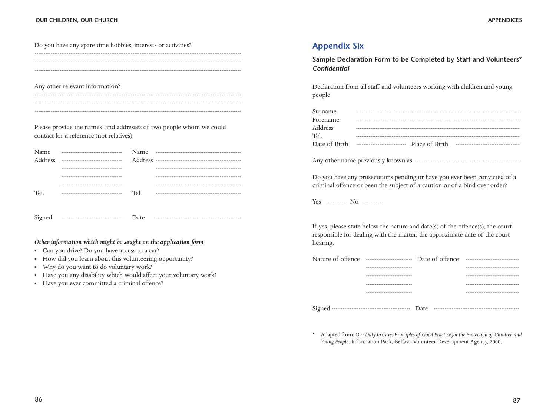Do you have any spare time hobbies, interests or activities?

Any other relevant information?

Please provide the names and addresses of two people whom we could contact for a reference (not relatives)

-------------------------------------------------------------------------------------------------------------------- --------------------------------------------------------------------------------------------------------------------  $-$ 

-------------------------------------------------------------------------------------------------------------------- --------------------------------------------------------------------------------------------------------------------  $-$ 

| Name ----------------------------------    |      |  |
|--------------------------------------------|------|--|
|                                            |      |  |
|                                            |      |  |
|                                            |      |  |
|                                            |      |  |
|                                            |      |  |
|                                            |      |  |
|                                            |      |  |
| Signed ----------------------------------- | Date |  |

#### *Other information which might be sought on the application form*

- Can you drive? Do you have access to a car?
- How did you learn about this volunteering opportunity?
- Why do you want to do voluntary work?
- Have you any disability which would affect your voluntary work?
- Have you ever committed a criminal offence?

## **Appendix Six**

**Sample Declaration Form to be Completed by Staff and Volunteers\*** *Confidential*

Declaration from all staff and volunteers working with children and young people

| ---------------------------- | Place of Birth | ------------------------------------ |
|------------------------------|----------------|--------------------------------------|
|                              |                |                                      |

Any other name previously known as ----------------------------------------------------------

Do you have any prosecutions pending or have you ever been convicted of a criminal offence or been the subject of a caution or of a bind over order?

Yes ---------- No ----------

If yes, please state below the nature and date(s) of the offence(s), the court responsible for dealing with the matter, the approximate date of the court hearing.

|  | ---------------------- |
|--|------------------------|
|  |                        |
|  |                        |
|  |                        |
|  |                        |
|  |                        |

\* Adapted from: *Our Duty to Care: Principles of Good Practice for the Protection of Children and Young People*, Information Pack, Belfast: Volunteer Development Agency, 2000.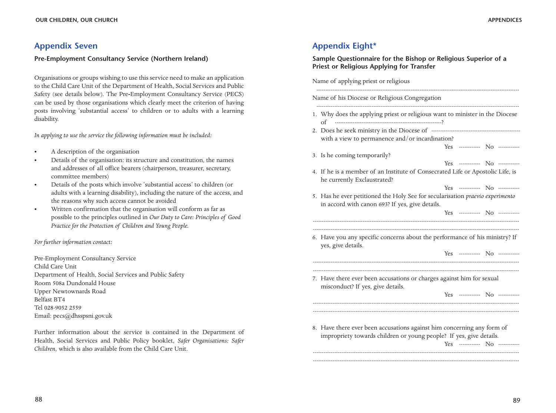## **Appendix Seven**

## **Pre-Employment Consultancy Service (Northern Ireland)**

Organisations or groups wishing to use this service need to make an application to the Child Care Unit of the Department of Health, Social Services and Public Safety (see details below). The Pre**-**Employment Consultancy Service (PECS) can be used by those organisations which clearly meet the criterion of having posts involving 'substantial access' to children or to adults with a learning disability.

*In applying to use the service the following information must be included:*

- A description of the organisation
- Details of the organisation: its structure and constitution, the names and addresses of all office bearers (chairperson, treasurer, secretary, committee members)
- Details of the posts which involve 'substantial access' to children (or adults with a learning disability), including the nature of the access, and the reasons why such access cannot be avoided
- Written confirmation that the organisation will conform as far as possible to the principles outlined in *Our Duty to Care: Principles of Good Practice for the Protection of Children and Young People.*

*For further information contact:*

Pre-Employment Consultancy Service Child Care Unit Department of Health, Social Services and Public Safety Room 508a Dundonald House Upper Newtownards Road Belfast BT4 Tel 028-9052 2559 Email: pecs@dhsspsni.gov.uk

Further information about the service is contained in the Department of Health, Social Services and Public Policy booklet, *Safer Organisations: Safer Children*, which is also available from the Child Care Unit.

# **Appendix Eight\***

**Sample Questionnaire for the Bishop or Religious Superior of a Priest or Religious Applying for Transfer**

Name of applying priest or religious

Name of his Diocese or Religious Congregation

------------------------------------------------------------------------------------------------------------------ 1. Why does the applying priest or religious want to minister in the Diocese of ------------------------------------------------------------?

------------------------------------------------------------------------------------------------------------------

2. Does he seek ministry in the Diocese of ------------------------------------------------- with a view to permanence and/or incardination?

Yes ------------ No ------------

3. Is he coming temporarily?

Yes ------------ No ------------

4. If he is a member of an Institute of Consecrated Life or Apostolic Life, is he currently Exclaustrated?

Yes ------------ No ------------

5. Has he ever petitioned the Holy See for secularisation *praevio experimento* in accord with canon 693? If yes, give details.

Yes ------------ No ------------

6. Have you any specific concerns about the performance of his ministry? If yes, give details.

-------------------------------------------------------------------------------------------------------------------- --------------------------------------------------------------------------------------------------------------------

--------------------------------------------------------------------------------------------------------------------

--------------------------------------------------------------------------------------------------------------------

-------------------------------------------------------------------------------------------------------------------- --------------------------------------------------------------------------------------------------------------------

Yes ------------ No ------------

7. Have there ever been accusations or charges against him for sexual misconduct? If yes, give details.

--------------------------------------------------------------------------------------------------------------------

Yes ------------ No ------------

8. Have there ever been accusations against him concerning any form of impropriety towards children or young people? If yes, give details. Yes ------------ No ------------

--------------------------------------------------------------------------------------------------------------------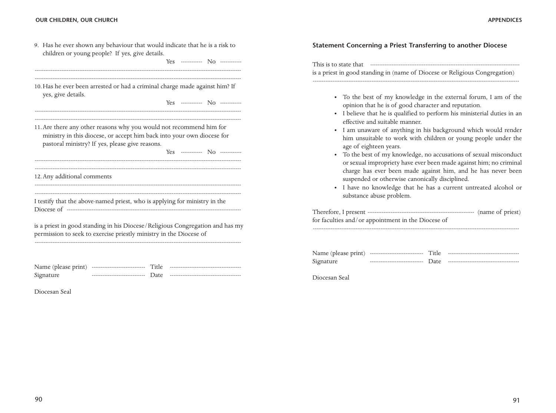| 9. Has he ever shown any behaviour that would indicate that he is a risk to<br>children or young people? If yes, give details. |  |                                                                                                                                               |  |
|--------------------------------------------------------------------------------------------------------------------------------|--|-----------------------------------------------------------------------------------------------------------------------------------------------|--|
|                                                                                                                                |  | $Yes$ ------------ No ------------                                                                                                            |  |
| yes, give details.                                                                                                             |  | 10. Has he ever been arrested or had a criminal charge made against him? If                                                                   |  |
|                                                                                                                                |  | $Yes$ ------------ No ------------                                                                                                            |  |
| pastoral ministry? If yes, please give reasons.                                                                                |  | 11. Are there any other reasons why you would not recommend him for<br>ministry in this diocese, or accept him back into your own diocese for |  |
|                                                                                                                                |  | $Yes$ ------------ $No$ ------------                                                                                                          |  |
| 12. Any additional comments                                                                                                    |  |                                                                                                                                               |  |
|                                                                                                                                |  | I testify that the above-named priest, who is applying for ministry in the                                                                    |  |
|                                                                                                                                |  | is a priest in good standing in his Diocese/Religious Congregation and has my                                                                 |  |

Signature ------------------------------ Date ----------------------------------------

Diocesan Seal

## **Statement Concerning a Priest Transferring to another Diocese**

This is to state that ----------------------------------------------------------------------------------- is a priest in good standing in (name of Diocese or Religious Congregation) -------------------------------------------------------------------------------------------------------------------- • To the best of my knowledge in the external forum, I am of the opinion that he is of good character and reputation. • I believe that he is qualified to perform his ministerial duties in an effective and suitable manner. • I am unaware of anything in his background which would render him unsuitable to work with children or young people under the age of eighteen years. • To the best of my knowledge, no accusations of sexual misconduct or sexual impropriety have ever been made against him; no criminal charge has ever been made against him, and he has never been suspended or otherwise canonically disciplined. • I have no knowledge that he has a current untreated alcohol or substance abuse problem. Therefore, I present ------------------------------------------------------------ (name of priest) for faculties and/or appointment in the Diocese of -------------------------------------------------------------------------------------------------------------------- Name (please print) ------------------------------ Title ---------------------------------------- Signature ------------------------------ Date ---------------------------------------- Diocesan Seal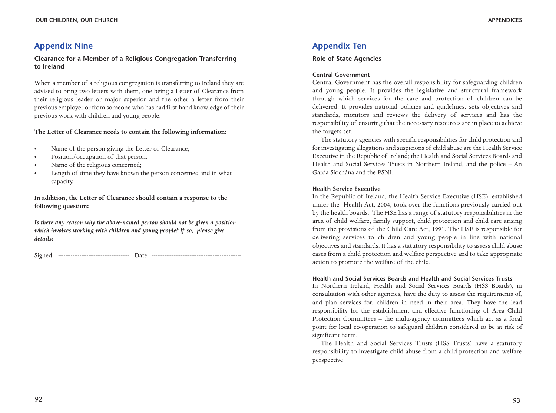## **Appendix Nine**

## **Clearance for a Member of a Religious Congregation Transferring to Ireland**

When a member of a religious congregation is transferring to Ireland they are advised to bring two letters with them, one being a Letter of Clearance from their religious leader or major superior and the other a letter from their previous employer or from someone who has had first-hand knowledge of their previous work with children and young people.

## **The Letter of Clearance needs to contain the following information:**

- Name of the person giving the Letter of Clearance;
- Position/occupation of that person;
- Name of the religious concerned;
- Length of time they have known the person concerned and in what capacity.

**In addition, the Letter of Clearance should contain a response to the following question:**

*Is there any reason why the above-named person should not be given a position which involves working with children and young people? If so, please give details:*

Signed ---------------------------------------- Date --------------------------------------------------

# **Appendix Ten**

## **Role of State Agencies**

## **Central Government**

Central Government has the overall responsibility for safeguarding children and young people. It provides the legislative and structural framework through which services for the care and protection of children can be delivered. It provides national policies and guidelines, sets objectives and standards, monitors and reviews the delivery of services and has the responsibility of ensuring that the necessary resources are in place to achieve the targets set.

The statutory agencies with specific responsibilities for child protection and for investigating allegations and suspicions of child abuse are the Health Service Executive in the Republic of Ireland; the Health and Social Services Boards and Health and Social Services Trusts in Northern Ireland, and the police – An Garda Síochána and the PSNI.

## **Health Service Executive**

In the Republic of Ireland, the Health Service Executive (HSE), established under the Health Act, 2004, took over the functions previously carried out by the health boards. The HSE has a range of statutory responsibilities in the area of child welfare, family support, child protection and child care arising from the provisions of the Child Care Act, 1991. The HSE is responsible for delivering services to children and young people in line with national objectives and standards. It has a statutory responsibility to assess child abuse cases from a child protection and welfare perspective and to take appropriate action to promote the welfare of the child.

#### **Health and Social Services Boards and Health and Social Services Trusts**

In Northern Ireland, Health and Social Services Boards (HSS Boards), in consultation with other agencies, have the duty to assess the requirements of, and plan services for, children in need in their area. They have the lead responsibility for the establishment and effective functioning of Area Child Protection Committees – the multi-agency committees which act as a focal point for local co-operation to safeguard children considered to be at risk of significant harm.

The Health and Social Services Trusts (HSS Trusts) have a statutory responsibility to investigate child abuse from a child protection and welfare perspective.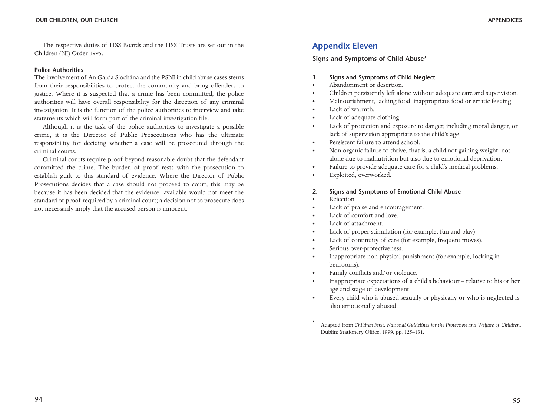#### **Police Authorities**

The involvement of An Garda Síochána and the PSNI in child abuse cases stems from their responsibilities to protect the community and bring offenders to justice. Where it is suspected that a crime has been committed, the police authorities will have overall responsibility for the direction of any criminal investigation. It is the function of the police authorities to interview and take statements which will form part of the criminal investigation file.

Although it is the task of the police authorities to investigate a possible crime, it is the Director of Public Prosecutions who has the ultimate responsibility for deciding whether a case will be prosecuted through the criminal courts.

Criminal courts require proof beyond reasonable doubt that the defendant committed the crime. The burden of proof rests with the prosecution to establish guilt to this standard of evidence. Where the Director of Public Prosecutions decides that a case should not proceed to court, this may be because it has been decided that the evidence available would not meet the standard of proof required by a criminal court; a decision not to prosecute does not necessarily imply that the accused person is innocent.

# **Appendix Eleven**

## **Signs and Symptoms of Child Abuse\***

- **1. Signs and Symptoms of Child Neglect**
- Abandonment or desertion.
- Children persistently left alone without adequate care and supervision.
- Malnourishment, lacking food, inappropriate food or erratic feeding.
- Lack of warmth.
- Lack of adequate clothing.
- Lack of protection and exposure to danger, including moral danger, or lack of supervision appropriate to the child's age.
- Persistent failure to attend school.
- Non-organic failure to thrive, that is, a child not gaining weight, not alone due to malnutrition but also due to emotional deprivation.
- Failure to provide adequate care for a child's medical problems.
- Exploited, overworked.

## **2. Signs and Symptoms of Emotional Child Abuse**

- Rejection.
- Lack of praise and encouragement.
- Lack of comfort and love.
- Lack of attachment.
- Lack of proper stimulation (for example, fun and play).
- Lack of continuity of care (for example, frequent moves).
- Serious over-protectiveness.
- Inappropriate non-physical punishment (for example, locking in bedrooms).
- Family conflicts and/or violence.
- Inappropriate expectations of a child's behaviour relative to his or her age and stage of development.
- Every child who is abused sexually or physically or who is neglected is also emotionally abused.

\* Adapted from *Children First, National Guidelines for the Protection and Welfare of Children*, Dublin: Stationery Office, 1999, pp. 125–131.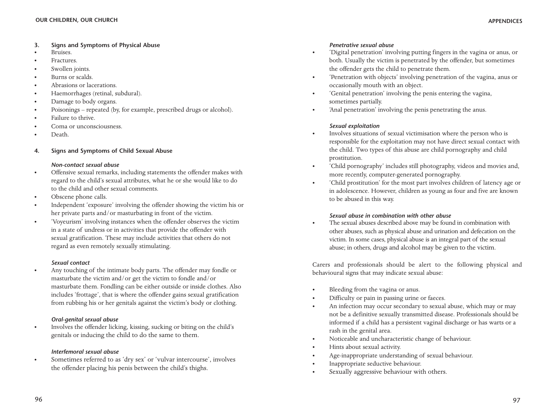## **3. Signs and Symptoms of Physical Abuse**

- Bruises.
- Fractures.
- Swollen joints.
- Burns or scalds.
- Abrasions or lacerations.
- Haemorrhages (retinal, subdural).
- Damage to body organs.
- Poisonings repeated (by, for example, prescribed drugs or alcohol).
- Failure to thrive.
- Coma or unconsciousness.
- Death.

## **4. Signs and Symptoms of Child Sexual Abuse**

#### *Non-contact sexual abuse*

- Offensive sexual remarks, including statements the offender makes with regard to the child's sexual attributes, what he or she would like to do to the child and other sexual comments.
- Obscene phone calls.
- Independent 'exposure' involving the offender showing the victim his or her private parts and/or masturbating in front of the victim.
- 'Voyeurism' involving instances when the offender observes the victim in a state of undress or in activities that provide the offender with sexual gratification. These may include activities that others do not regard as even remotely sexually stimulating.

#### *Sexual contact*

• Any touching of the intimate body parts. The offender may fondle or masturbate the victim and/or get the victim to fondle and/or masturbate them. Fondling can be either outside or inside clothes. Also includes 'frottage', that is where the offender gains sexual gratification from rubbing his or her genitals against the victim's body or clothing.

#### *Oral-genital sexual abuse*

• Involves the offender licking, kissing, sucking or biting on the child's genitals or inducing the child to do the same to them.

## *Interfemoral sexual abuse*

Sometimes referred to as 'dry sex' or 'vulvar intercourse', involves the offender placing his penis between the child's thighs.

### *Penetrative sexual abuse*

- 'Digital penetration' involving putting fingers in the vagina or anus, or both. Usually the victim is penetrated by the offender, but sometimes the offender gets the child to penetrate them.
- 'Penetration with objects' involving penetration of the vagina, anus or occasionally mouth with an object.
- 'Genital penetration' involving the penis entering the vagina, sometimes partially.
- 'Anal penetration' involving the penis penetrating the anus.

## *Sexual exploitation*

- Involves situations of sexual victimisation where the person who is responsible for the exploitation may not have direct sexual contact with the child. Two types of this abuse are child pornography and child prostitution.
- 'Child pornography' includes still photography, videos and movies and, more recently, computer-generated pornography.
- 'Child prostitution' for the most part involves children of latency age or in adolescence. However, children as young as four and five are known to be abused in this way.

## *Sexual abuse in combination with other abuse*

• The sexual abuses described above may be found in combination with other abuses, such as physical abuse and urination and defecation on the victim. In some cases, physical abuse is an integral part of the sexual abuse; in others, drugs and alcohol may be given to the victim.

Carers and professionals should be alert to the following physical and behavioural signs that may indicate sexual abuse:

- Bleeding from the vagina or anus.
- Difficulty or pain in passing urine or faeces.
- An infection may occur secondary to sexual abuse, which may or may not be a definitive sexually transmitted disease. Professionals should be informed if a child has a persistent vaginal discharge or has warts or a rash in the genital area.
- Noticeable and uncharacteristic change of behaviour.
- Hints about sexual activity.
- Age-inappropriate understanding of sexual behaviour.
- Inappropriate seductive behaviour.
- Sexually aggressive behaviour with others.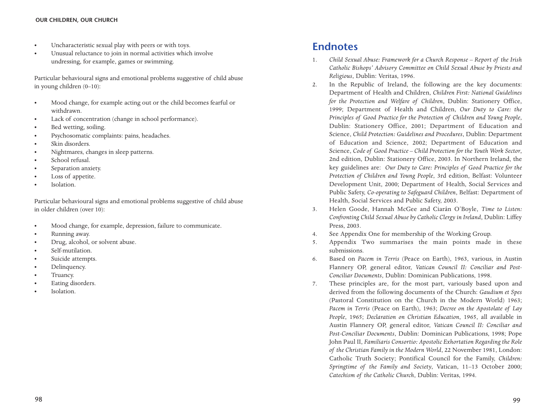- Uncharacteristic sexual play with peers or with toys.
- Unusual reluctance to join in normal activities which involve undressing, for example, games or swimming.

Particular behavioural signs and emotional problems suggestive of child abuse in young children (0–10):

- Mood change, for example acting out or the child becomes fearful or withdrawn.
- Lack of concentration (change in school performance).
- Bed wetting, soiling.
- Psychosomatic complaints: pains, headaches.
- Skin disorders.
- Nightmares, changes in sleep patterns.
- School refusal.
- Separation anxiety.
- Loss of appetite.
- Isolation.

Particular behavioural signs and emotional problems suggestive of child abuse in older children (over 10):

- Mood change, for example, depression, failure to communicate.
- Running away.
- Drug, alcohol, or solvent abuse.
- Self-mutilation.
- Suicide attempts.
- Delinquency.
- Truancy.
- Eating disorders.
- Isolation.

# **Endnotes**

- 1. *Child Sexual Abuse: Framework for a Church Response Report of the Irish Catholic Bishops' Advisory Committee on Child Sexual Abuse by Priests and Religious*, Dublin: Veritas, 1996.
- 2. In the Republic of Ireland, the following are the key documents: Department of Health and Children, *Children First: National Guidelines for the Protection and Welfare of Children*, Dublin: Stationery Office, 1999; Department of Health and Children, *Our Duty to Care: the Principles of Good Practice for the Protection of Children and Young People*, Dublin: Stationery Office, 2001; Department of Education and Science, *Child Protection: Guidelines and Procedures*, Dublin: Department of Education and Science, 2002; Department of Education and Science, *Code of Good Practice – Child Protection for the Youth Work Sector*, 2nd edition, Dublin: Stationery Office, 2003. In Northern Ireland, the key guidelines are: *Our Duty to Care: Principles of Good Practice for the Protection of Children and Young People*, 3rd edition, Belfast: Volunteer Development Unit, 2000; Department of Health, Social Services and Public Safety, *Co-operating to Safeguard Children*, Belfast: Department of Health, Social Services and Public Safety, 2003.
- 3. Helen Goode, Hannah McGee and Ciarán O'Boyle, *Time to Listen: Confronting Child Sexual Abuse by Catholic Clergy in Ireland*, Dublin: Liffey Press, 2003.
- 4. See Appendix One for membership of the Working Group.
- 5. Appendix Two summarises the main points made in these submissions.
- 6. Based on *Pacem in Terris* (Peace on Earth), 1963, various, in Austin Flannery OP, general editor, *Vatican Council II: Conciliar and Post-Conciliar Documents*, Dublin: Dominican Publications, 1998.
- 7. These principles are, for the most part, variously based upon and derived from the following documents of the Church: *Gaudium et Spes* (Pastoral Constitution on the Church in the Modern World) 1963; *Pacem in Terris* (Peace on Earth), 1963; *Decree on the Apostolate of Lay People*, 1965; *Declaration on Christian Education*, 1965, all available in Austin Flannery OP, general editor, *Vatican Council II: Conciliar and Post-Conciliar Documents*, Dublin: Dominican Publications, 1998; Pope John Paul II, *Familiaris Consortio: Apostolic Exhortation Regarding the Role of the Christian Family in the Modern World*, 22 November 1981, London: Catholic Truth Society; Pontifical Council for the Family, *Children: Springtime of the Family and Society*, Vatican, 11–13 October 2000; *Catechism of the Catholic Church*, Dublin: Veritas, 1994.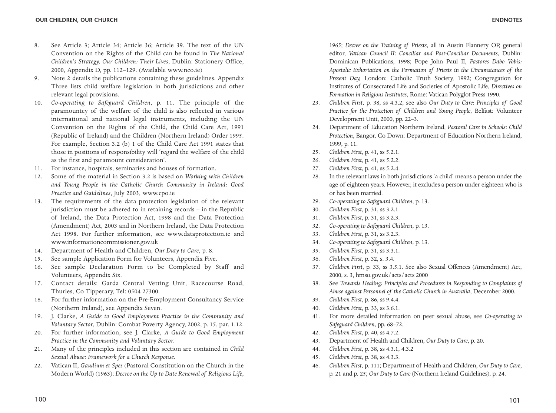- 8. See Article 3; Article 34; Article 36; Article 39. The text of the UN Convention on the Rights of the Child can be found in *The National Children's Strategy, Our Children: Their Lives*, Dublin: Stationery Office, 2000, Appendix D, pp. 112–129. (Available www.nco.ie)
- 9. Note 2 details the publications containing these guidelines. Appendix Three lists child welfare legislation in both jurisdictions and other relevant legal provisions.
- 10. *Co-operating to Safeguard Children*, p. 11. The principle of the paramountcy of the welfare of the child is also reflected in various international and national legal instruments, including the UN Convention on the Rights of the Child, the Child Care Act, 1991 (Republic of Ireland) and the Children (Northern Ireland) Order 1995. For example, Section 3.2 (b) 1 of the Child Care Act 1991 states that those in positions of responsibility will 'regard the welfare of the child as the first and paramount consideration'.
- 11. For instance, hospitals, seminaries and houses of formation.
- 12. Some of the material in Section 3.2 is based on *Working with Children and Young People in the Catholic Church Community in Ireland: Good Practice and Guidelines*, July 2003, www.cpo.ie
- 13. The requirements of the data protection legislation of the relevant jurisdiction must be adhered to in retaining records – in the Republic of Ireland, the Data Protection Act, 1998 and the Data Protection (Amendment) Act, 2003 and in Northern Ireland, the Data Protection Act 1998. For further information, see www.dataprotection.ie and www.informationcommissioner.gov.uk
- 14. Department of Health and Children, *Our Duty to Care*, p. 8.
- 15. See sample Application Form for Volunteers, Appendix Five.
- 16. See sample Declaration Form to be Completed by Staff and Volunteers, Appendix Six.
- 17. Contact details: Garda Central Vetting Unit, Racecourse Road, Thurles, Co Tipperary, Tel: 0504 27300.
- 18. For further information on the Pre-Employment Consultancy Service (Northern Ireland), see Appendix Seven.
- 19. J. Clarke, *A Guide to Good Employment Practice in the Community and Voluntary Sector*, Dublin: Combat Poverty Agency, 2002, p. 15, par. 1.12.
- 20. For further information, see J. Clarke, *A Guide to Good Employment Practice in the Community and Voluntary Sector.*
- 21. Many of the principles included in this section are contained in *Child Sexual Abuse: Framework for a Church Response.*
- 22. Vatican II, *Gaudium et Spes* (Pastoral Constitution on the Church in the Modern World) (1963); *Decree on the Up to Date Renewal of Religious Life*,

1965; *Decree on the Training of Priests*, all in Austin Flannery OP, general editor, *Vatican Council II*: *Conciliar and Post-Conciliar Documents*, Dublin: Dominican Publications, 1998; Pope John Paul II, *Pastores Dabo Vobis: Apostolic Exhortation on the Formation of Priests in the Circumstances of the Present Day,* London: Catholic Truth Society, 1992; Congregation for Institutes of Consecrated Life and Societies of Apostolic Life, *Directives on Formation in Religious Institutes*, Rome: Vatican Polyglot Press 1990.

- 23. *Children First*, p. 38, ss 4.3.2; see also *Our Duty to Care: Principles of Good Practice for the Protection of Children and Young People*, Belfast: Volunteer Development Unit, 2000, pp. 22–3.
- 24. Department of Education Northern Ireland, *Pastoral Care in Schools: Child Protection*, Bangor, Co Down: Department of Education Northern Ireland, 1999, p. 11.
- 25. *Children First*, p. 41, ss 5.2.1.
- 26. *Children First*, p. 41, ss 5.2.2.
- 27. *Children First*, p. 41, ss 5.2.4.
- 28. In the relevant laws in both jurisdictions 'a child' means a person under the age of eighteen years. However, it excludes a person under eighteen who is or has been married.
- 29. *Co-operating to Safeguard Children*, p. 13.
- 30. *Children First*, p. 31, ss 3.2.1.
- 31. *Children First*, p. 31, ss 3.2.3.
- 32. *Co-operating to Safeguard Children*, p. 13.
- 33. *Children First*, p. 31, ss 3.2.3.
- 34. *Co-operating to Safeguard Children*, p. 13.
- 35. *Children First*, p. 31, ss 3.3.1.
- 36. *Children First*, p. 32, s. 3.4.
- 37. *Children First*, p. 33, ss 3.5.1. See also Sexual Offences (Amendment) Act, 2000, s. 3, hmso.gov.uk/acts/acts 2000
- 38. See *Towards Healing: Principles and Procedures in Responding to Complaints of Abuse against Personnel of the Catholic Church in Australia*, December 2000.
- 39. *Children First*, p. 86, ss 9.4.4.
- 40. *Children First*, p. 33, ss 3.6.1.
- 41. For more detailed information on peer sexual abuse, see *Co-operating to Safeguard Children,* pp. 68–72.
- 42. *Children First*, p. 40, ss 4.7.2.
- 43. Department of Health and Children, *Our Duty to Care*, p. 20.
- 44. *Children First*, p. 38, ss 4.3.1, 4.3.2
- 45. *Children First*, p. 38, ss 4.3.3.
- 46. *Children First,* p. 111; Department of Health and Children, *Our Duty to Care*, p. 21 and p. 25; *Our Duty to Care* (Northern Ireland Guidelines), p. 24.